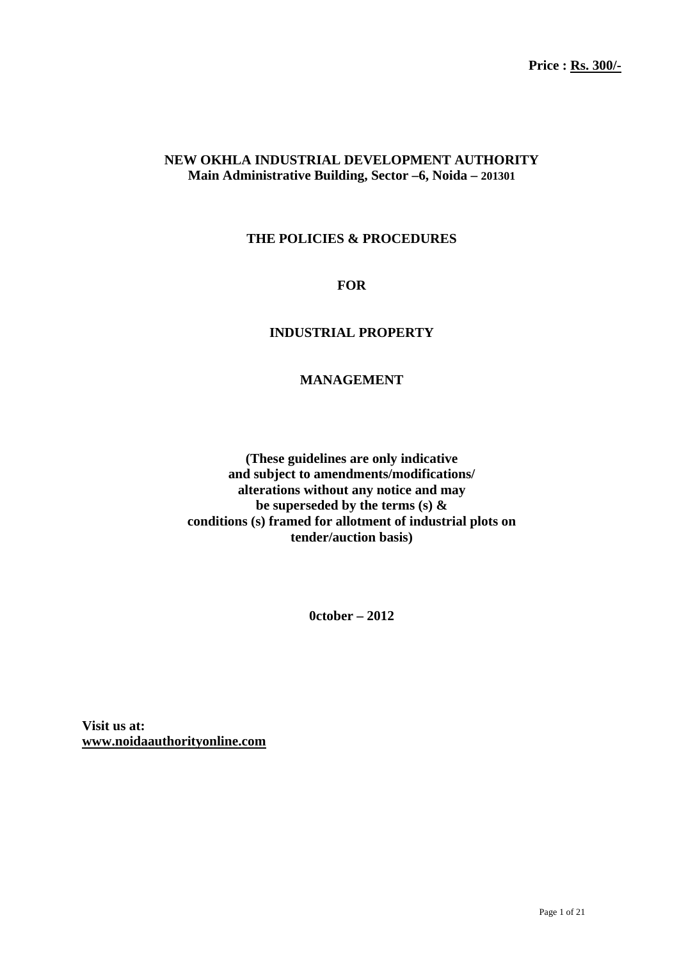## **NEW OKHLA INDUSTRIAL DEVELOPMENT AUTHORITY Main Administrative Building, Sector –6, Noida – 201301**

## **THE POLICIES & PROCEDURES**

**FOR** 

## **INDUSTRIAL PROPERTY**

## **MANAGEMENT**

**(These guidelines are only indicative and subject to amendments/modifications/ alterations without any notice and may be superseded by the terms (s) & conditions (s) framed for allotment of industrial plots on tender/auction basis)** 

**0ctober – 2012** 

**Visit us at: www.noidaauthorityonline.com**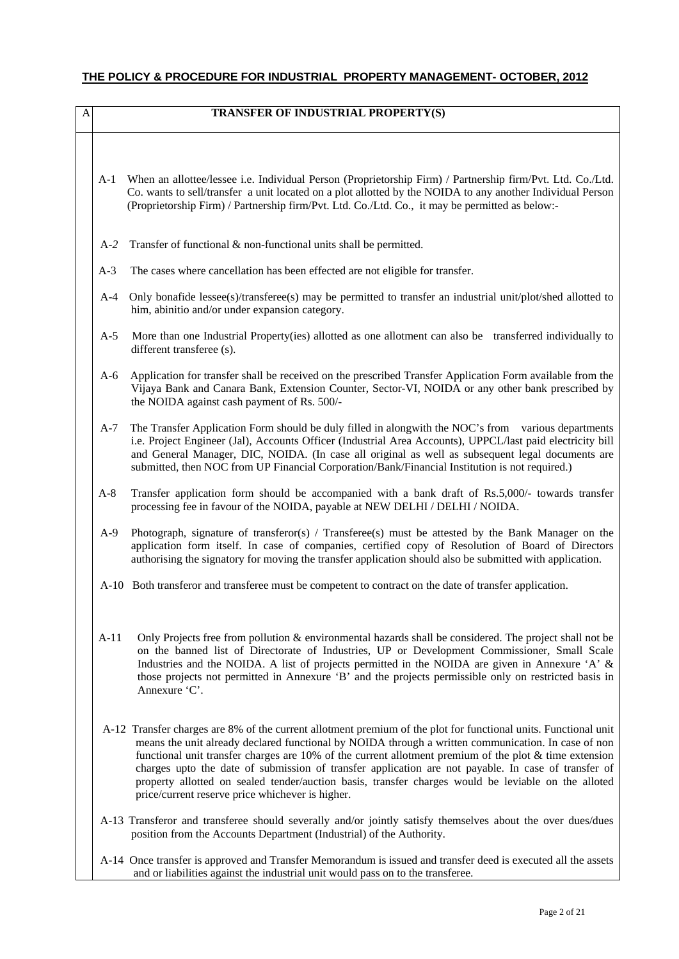# **THE POLICY & PROCEDURE FOR INDUSTRIAL PROPERTY MANAGEMENT- OCTOBER, 2012**

| A |        | TRANSFER OF INDUSTRIAL PROPERTY(S)                                                                                                                                                                                                                                                                                                                                                                                                                                                                                                                                                                    |
|---|--------|-------------------------------------------------------------------------------------------------------------------------------------------------------------------------------------------------------------------------------------------------------------------------------------------------------------------------------------------------------------------------------------------------------------------------------------------------------------------------------------------------------------------------------------------------------------------------------------------------------|
|   |        |                                                                                                                                                                                                                                                                                                                                                                                                                                                                                                                                                                                                       |
|   | $A-1$  | When an allottee/lessee i.e. Individual Person (Proprietorship Firm) / Partnership firm/Pvt. Ltd. Co./Ltd.<br>Co. wants to sell/transfer a unit located on a plot allotted by the NOIDA to any another Individual Person<br>(Proprietorship Firm) / Partnership firm/Pvt. Ltd. Co./Ltd. Co., it may be permitted as below:-                                                                                                                                                                                                                                                                           |
|   | $A-2$  | Transfer of functional & non-functional units shall be permitted.                                                                                                                                                                                                                                                                                                                                                                                                                                                                                                                                     |
|   | $A-3$  | The cases where cancellation has been effected are not eligible for transfer.                                                                                                                                                                                                                                                                                                                                                                                                                                                                                                                         |
|   | $A-4$  | Only bonafide lessee(s)/transferee(s) may be permitted to transfer an industrial unit/plot/shed allotted to<br>him, abinitio and/or under expansion category.                                                                                                                                                                                                                                                                                                                                                                                                                                         |
|   | $A-5$  | More than one Industrial Property (ies) allotted as one allotment can also be transferred individually to<br>different transferee (s).                                                                                                                                                                                                                                                                                                                                                                                                                                                                |
|   | $A-6$  | Application for transfer shall be received on the prescribed Transfer Application Form available from the<br>Vijaya Bank and Canara Bank, Extension Counter, Sector-VI, NOIDA or any other bank prescribed by<br>the NOIDA against cash payment of Rs. 500/-                                                                                                                                                                                                                                                                                                                                          |
|   | $A-7$  | The Transfer Application Form should be duly filled in along with the NOC's from various departments<br>i.e. Project Engineer (Jal), Accounts Officer (Industrial Area Accounts), UPPCL/last paid electricity bill<br>and General Manager, DIC, NOIDA. (In case all original as well as subsequent legal documents are<br>submitted, then NOC from UP Financial Corporation/Bank/Financial Institution is not required.)                                                                                                                                                                              |
|   | $A-8$  | Transfer application form should be accompanied with a bank draft of Rs.5,000/- towards transfer<br>processing fee in favour of the NOIDA, payable at NEW DELHI / DELHI / NOIDA.                                                                                                                                                                                                                                                                                                                                                                                                                      |
|   | $A-9$  | Photograph, signature of transferor(s) / Transferee(s) must be attested by the Bank Manager on the<br>application form itself. In case of companies, certified copy of Resolution of Board of Directors<br>authorising the signatory for moving the transfer application should also be submitted with application.                                                                                                                                                                                                                                                                                   |
|   |        | A-10 Both transferor and transferee must be competent to contract on the date of transfer application.                                                                                                                                                                                                                                                                                                                                                                                                                                                                                                |
|   | $A-11$ | Only Projects free from pollution & environmental hazards shall be considered. The project shall not be<br>on the banned list of Directorate of Industries, UP or Development Commissioner, Small Scale<br>Industries and the NOIDA. A list of projects permitted in the NOIDA are given in Annexure 'A' &<br>those projects not permitted in Annexure 'B' and the projects permissible only on restricted basis in<br>Annexure 'C'.                                                                                                                                                                  |
|   |        | A-12 Transfer charges are 8% of the current allotment premium of the plot for functional units. Functional unit<br>means the unit already declared functional by NOIDA through a written communication. In case of non<br>functional unit transfer charges are $10\%$ of the current allotment premium of the plot & time extension<br>charges upto the date of submission of transfer application are not payable. In case of transfer of<br>property allotted on sealed tender/auction basis, transfer charges would be leviable on the alloted<br>price/current reserve price whichever is higher. |
|   |        | A-13 Transferor and transferee should severally and/or jointly satisfy themselves about the over dues/dues<br>position from the Accounts Department (Industrial) of the Authority.                                                                                                                                                                                                                                                                                                                                                                                                                    |
|   |        | A-14 Once transfer is approved and Transfer Memorandum is issued and transfer deed is executed all the assets                                                                                                                                                                                                                                                                                                                                                                                                                                                                                         |

and or liabilities against the industrial unit would pass on to the transferee.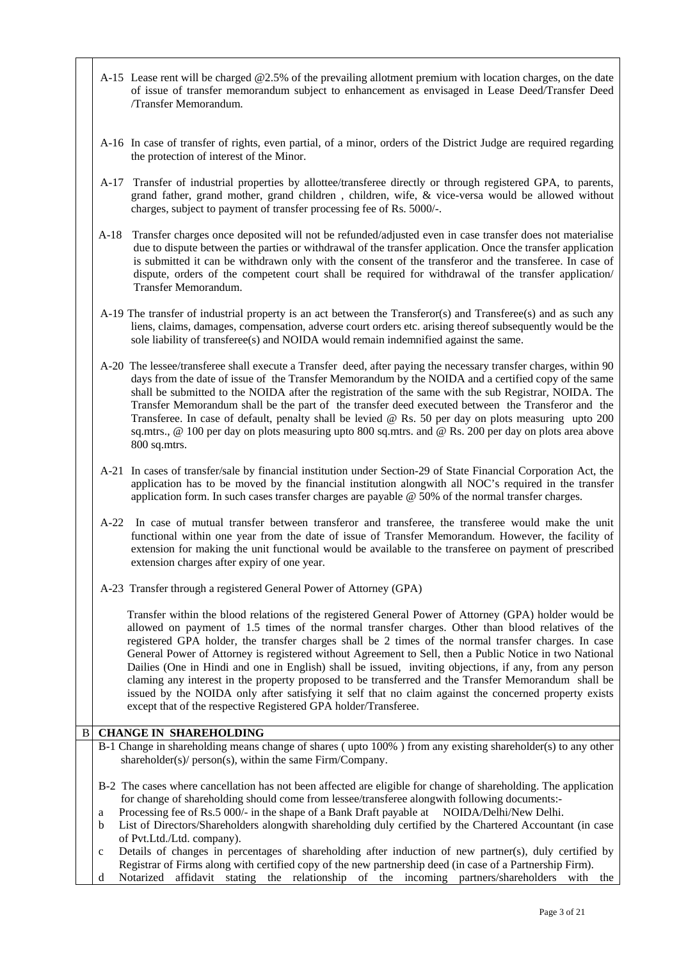- A-15 Lease rent will be charged @2.5% of the prevailing allotment premium with location charges, on the date of issue of transfer memorandum subject to enhancement as envisaged in Lease Deed/Transfer Deed /Transfer Memorandum.
- A-16 In case of transfer of rights, even partial, of a minor, orders of the District Judge are required regarding the protection of interest of the Minor.
- A-17 Transfer of industrial properties by allottee/transferee directly or through registered GPA, to parents, grand father, grand mother, grand children , children, wife, & vice-versa would be allowed without charges, subject to payment of transfer processing fee of Rs. 5000/-.
- A-18 Transfer charges once deposited will not be refunded/adjusted even in case transfer does not materialise due to dispute between the parties or withdrawal of the transfer application. Once the transfer application is submitted it can be withdrawn only with the consent of the transferor and the transferee. In case of dispute, orders of the competent court shall be required for withdrawal of the transfer application/ Transfer Memorandum.
- A-19 The transfer of industrial property is an act between the Transferor(s) and Transferee(s) and as such any liens, claims, damages, compensation, adverse court orders etc. arising thereof subsequently would be the sole liability of transferee(s) and NOIDA would remain indemnified against the same.
- A-20 The lessee/transferee shall execute a Transfer deed, after paying the necessary transfer charges, within 90 days from the date of issue of the Transfer Memorandum by the NOIDA and a certified copy of the same shall be submitted to the NOIDA after the registration of the same with the sub Registrar, NOIDA. The Transfer Memorandum shall be the part of the transfer deed executed between the Transferor and the Transferee. In case of default, penalty shall be levied @ Rs. 50 per day on plots measuring upto 200 sq.mtrs., @ 100 per day on plots measuring upto 800 sq.mtrs. and @ Rs. 200 per day on plots area above 800 sq.mtrs.
- A-21 In cases of transfer/sale by financial institution under Section-29 of State Financial Corporation Act, the application has to be moved by the financial institution alongwith all NOC's required in the transfer application form. In such cases transfer charges are payable @ 50% of the normal transfer charges.
- A-22 In case of mutual transfer between transferor and transferee, the transferee would make the unit functional within one year from the date of issue of Transfer Memorandum. However, the facility of extension for making the unit functional would be available to the transferee on payment of prescribed extension charges after expiry of one year.
- A-23 Transfer through a registered General Power of Attorney (GPA)

Transfer within the blood relations of the registered General Power of Attorney (GPA) holder would be allowed on payment of 1.5 times of the normal transfer charges. Other than blood relatives of the registered GPA holder, the transfer charges shall be 2 times of the normal transfer charges. In case General Power of Attorney is registered without Agreement to Sell, then a Public Notice in two National Dailies (One in Hindi and one in English) shall be issued, inviting objections, if any, from any person claming any interest in the property proposed to be transferred and the Transfer Memorandum shall be issued by the NOIDA only after satisfying it self that no claim against the concerned property exists except that of the respective Registered GPA holder/Transferee.

### **B** CHANGE IN SHAREHOLDING

- B-1 Change in shareholding means change of shares ( upto 100% ) from any existing shareholder(s) to any other shareholder(s)/ person(s), within the same Firm/Company.
- B-2 The cases where cancellation has not been affected are eligible for change of shareholding. The application for change of shareholding should come from lessee/transferee alongwith following documents:-
- a Processing fee of Rs.5 000/- in the shape of a Bank Draft payable at NOIDA/Delhi/New Delhi.
- b List of Directors/Shareholders alongwith shareholding duly certified by the Chartered Accountant (in case of Pvt.Ltd./Ltd. company).

c Details of changes in percentages of shareholding after induction of new partner(s), duly certified by Registrar of Firms along with certified copy of the new partnership deed (in case of a Partnership Firm). d Notarized affidavit stating the relationship of the incoming partners/shareholders with the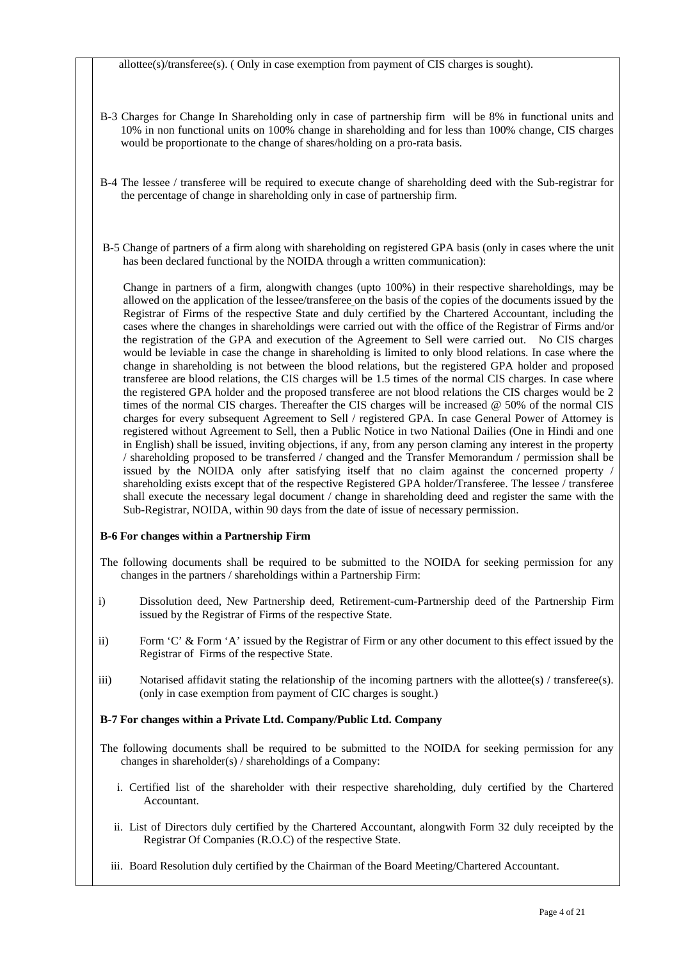allottee(s)/transferee(s). ( Only in case exemption from payment of CIS charges is sought).

- B-3 Charges for Change In Shareholding only in case of partnership firm will be 8% in functional units and 10% in non functional units on 100% change in shareholding and for less than 100% change, CIS charges would be proportionate to the change of shares/holding on a pro-rata basis.
- B-4 The lessee / transferee will be required to execute change of shareholding deed with the Sub-registrar for the percentage of change in shareholding only in case of partnership firm.
- B-5 Change of partners of a firm along with shareholding on registered GPA basis (only in cases where the unit has been declared functional by the NOIDA through a written communication):

Change in partners of a firm, alongwith changes (upto 100%) in their respective shareholdings, may be allowed on the application of the lessee/transferee on the basis of the copies of the documents issued by the Registrar of Firms of the respective State and duly certified by the Chartered Accountant, including the cases where the changes in shareholdings were carried out with the office of the Registrar of Firms and/or the registration of the GPA and execution of the Agreement to Sell were carried out. No CIS charges would be leviable in case the change in shareholding is limited to only blood relations. In case where the change in shareholding is not between the blood relations, but the registered GPA holder and proposed transferee are blood relations, the CIS charges will be 1.5 times of the normal CIS charges. In case where the registered GPA holder and the proposed transferee are not blood relations the CIS charges would be 2 times of the normal CIS charges. Thereafter the CIS charges will be increased @ 50% of the normal CIS charges for every subsequent Agreement to Sell / registered GPA. In case General Power of Attorney is registered without Agreement to Sell, then a Public Notice in two National Dailies (One in Hindi and one in English) shall be issued, inviting objections, if any, from any person claming any interest in the property / shareholding proposed to be transferred / changed and the Transfer Memorandum / permission shall be issued by the NOIDA only after satisfying itself that no claim against the concerned property / shareholding exists except that of the respective Registered GPA holder/Transferee. The lessee / transferee shall execute the necessary legal document / change in shareholding deed and register the same with the Sub-Registrar, NOIDA, within 90 days from the date of issue of necessary permission.

#### **B-6 For changes within a Partnership Firm**

The following documents shall be required to be submitted to the NOIDA for seeking permission for any changes in the partners / shareholdings within a Partnership Firm:

- i) Dissolution deed, New Partnership deed, Retirement-cum-Partnership deed of the Partnership Firm issued by the Registrar of Firms of the respective State.
- ii) Form 'C' & Form 'A' issued by the Registrar of Firm or any other document to this effect issued by the Registrar of Firms of the respective State.
- iii) Notarised affidavit stating the relationship of the incoming partners with the allottee(s) / transferee(s). (only in case exemption from payment of CIC charges is sought.)

#### **B-7 For changes within a Private Ltd. Company/Public Ltd. Company**

- The following documents shall be required to be submitted to the NOIDA for seeking permission for any changes in shareholder(s) / shareholdings of a Company:
	- i. Certified list of the shareholder with their respective shareholding, duly certified by the Chartered Accountant.
	- ii. List of Directors duly certified by the Chartered Accountant, alongwith Form 32 duly receipted by the Registrar Of Companies (R.O.C) of the respective State.
	- iii. Board Resolution duly certified by the Chairman of the Board Meeting/Chartered Accountant.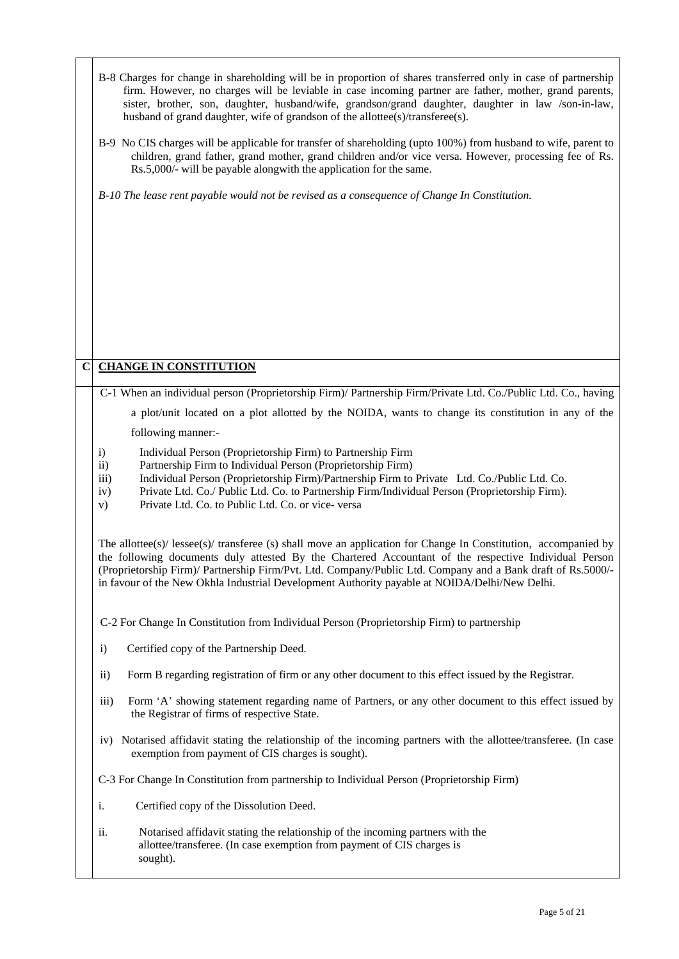|             | B-8 Charges for change in shareholding will be in proportion of shares transferred only in case of partnership<br>firm. However, no charges will be leviable in case incoming partner are father, mother, grand parents,<br>sister, brother, son, daughter, husband/wife, grandson/grand daughter, daughter in law /son-in-law,<br>husband of grand daughter, wife of grandson of the allottee(s)/transferee(s).<br>B-9 No CIS charges will be applicable for transfer of shareholding (upto 100%) from husband to wife, parent to<br>children, grand father, grand mother, grand children and/or vice versa. However, processing fee of Rs.<br>Rs.5,000/- will be payable alongwith the application for the same.<br>B-10 The lease rent payable would not be revised as a consequence of Change In Constitution. |
|-------------|--------------------------------------------------------------------------------------------------------------------------------------------------------------------------------------------------------------------------------------------------------------------------------------------------------------------------------------------------------------------------------------------------------------------------------------------------------------------------------------------------------------------------------------------------------------------------------------------------------------------------------------------------------------------------------------------------------------------------------------------------------------------------------------------------------------------|
|             |                                                                                                                                                                                                                                                                                                                                                                                                                                                                                                                                                                                                                                                                                                                                                                                                                    |
| $\mathbf C$ | <b>CHANGE IN CONSTITUTION</b>                                                                                                                                                                                                                                                                                                                                                                                                                                                                                                                                                                                                                                                                                                                                                                                      |
|             | C-1 When an individual person (Proprietorship Firm)/ Partnership Firm/Private Ltd. Co./Public Ltd. Co., having                                                                                                                                                                                                                                                                                                                                                                                                                                                                                                                                                                                                                                                                                                     |
|             | a plot/unit located on a plot allotted by the NOIDA, wants to change its constitution in any of the                                                                                                                                                                                                                                                                                                                                                                                                                                                                                                                                                                                                                                                                                                                |
|             | following manner:-                                                                                                                                                                                                                                                                                                                                                                                                                                                                                                                                                                                                                                                                                                                                                                                                 |
|             | Individual Person (Proprietorship Firm) to Partnership Firm<br>$\mathbf{i}$<br>Partnership Firm to Individual Person (Proprietorship Firm)<br>$\mathbf{ii}$<br>Individual Person (Proprietorship Firm)/Partnership Firm to Private Ltd. Co./Public Ltd. Co.<br>iii)<br>Private Ltd. Co./ Public Ltd. Co. to Partnership Firm/Individual Person (Proprietorship Firm).<br>iv)<br>Private Ltd. Co. to Public Ltd. Co. or vice-versa<br>V)                                                                                                                                                                                                                                                                                                                                                                            |
|             | The allottee(s)/ lessee(s)/ transferee (s) shall move an application for Change In Constitution, accompanied by<br>the following documents duly attested By the Chartered Accountant of the respective Individual Person<br>(Proprietorship Firm)/ Partnership Firm/Pvt. Ltd. Company/Public Ltd. Company and a Bank draft of Rs.5000/-<br>in favour of the New Okhla Industrial Development Authority payable at NOIDA/Delhi/New Delhi.                                                                                                                                                                                                                                                                                                                                                                           |
|             | C-2 For Change In Constitution from Individual Person (Proprietorship Firm) to partnership                                                                                                                                                                                                                                                                                                                                                                                                                                                                                                                                                                                                                                                                                                                         |
|             | Certified copy of the Partnership Deed.<br>$\mathbf{i}$                                                                                                                                                                                                                                                                                                                                                                                                                                                                                                                                                                                                                                                                                                                                                            |
|             | $\mathbf{ii}$<br>Form B regarding registration of firm or any other document to this effect issued by the Registrar.                                                                                                                                                                                                                                                                                                                                                                                                                                                                                                                                                                                                                                                                                               |
|             | Form 'A' showing statement regarding name of Partners, or any other document to this effect issued by<br>iii)<br>the Registrar of firms of respective State.                                                                                                                                                                                                                                                                                                                                                                                                                                                                                                                                                                                                                                                       |
|             | iv) Notarised affidavit stating the relationship of the incoming partners with the allottee/transferee. (In case<br>exemption from payment of CIS charges is sought).                                                                                                                                                                                                                                                                                                                                                                                                                                                                                                                                                                                                                                              |
|             | C-3 For Change In Constitution from partnership to Individual Person (Proprietorship Firm)                                                                                                                                                                                                                                                                                                                                                                                                                                                                                                                                                                                                                                                                                                                         |
|             | i.<br>Certified copy of the Dissolution Deed.                                                                                                                                                                                                                                                                                                                                                                                                                                                                                                                                                                                                                                                                                                                                                                      |
|             | Notarised affidavit stating the relationship of the incoming partners with the<br>ii.<br>allottee/transferee. (In case exemption from payment of CIS charges is<br>sought).                                                                                                                                                                                                                                                                                                                                                                                                                                                                                                                                                                                                                                        |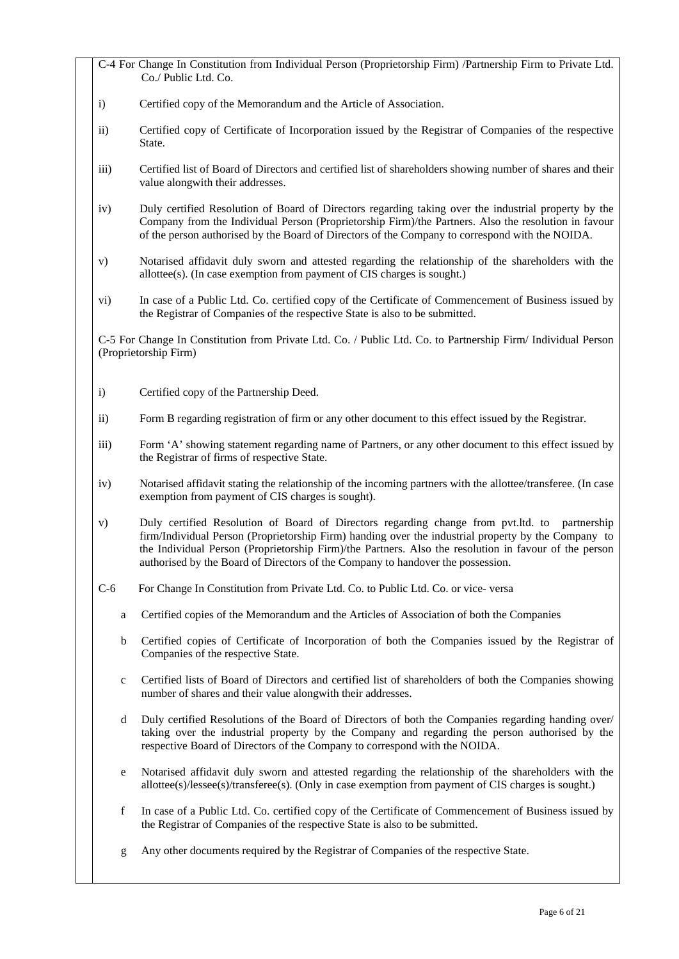C-4 For Change In Constitution from Individual Person (Proprietorship Firm) /Partnership Firm to Private Ltd. Co./ Public Ltd. Co.

- i) Certified copy of the Memorandum and the Article of Association.
- ii) Certified copy of Certificate of Incorporation issued by the Registrar of Companies of the respective State.
- iii) Certified list of Board of Directors and certified list of shareholders showing number of shares and their value alongwith their addresses.
- iv) Duly certified Resolution of Board of Directors regarding taking over the industrial property by the Company from the Individual Person (Proprietorship Firm)/the Partners. Also the resolution in favour of the person authorised by the Board of Directors of the Company to correspond with the NOIDA.
- v) Notarised affidavit duly sworn and attested regarding the relationship of the shareholders with the allottee(s). (In case exemption from payment of CIS charges is sought.)
- vi) In case of a Public Ltd. Co. certified copy of the Certificate of Commencement of Business issued by the Registrar of Companies of the respective State is also to be submitted.

C-5 For Change In Constitution from Private Ltd. Co. / Public Ltd. Co. to Partnership Firm/ Individual Person (Proprietorship Firm)

- i) Certified copy of the Partnership Deed.
- ii) Form B regarding registration of firm or any other document to this effect issued by the Registrar.
- iii) Form 'A' showing statement regarding name of Partners, or any other document to this effect issued by the Registrar of firms of respective State.
- iv) Notarised affidavit stating the relationship of the incoming partners with the allottee/transferee. (In case exemption from payment of CIS charges is sought).
- v) Duly certified Resolution of Board of Directors regarding change from pvt.ltd. to partnership firm/Individual Person (Proprietorship Firm) handing over the industrial property by the Company to the Individual Person (Proprietorship Firm)/the Partners. Also the resolution in favour of the person authorised by the Board of Directors of the Company to handover the possession.
- C-6 For Change In Constitution from Private Ltd. Co. to Public Ltd. Co. or vice- versa
	- a Certified copies of the Memorandum and the Articles of Association of both the Companies
	- b Certified copies of Certificate of Incorporation of both the Companies issued by the Registrar of Companies of the respective State.
	- c Certified lists of Board of Directors and certified list of shareholders of both the Companies showing number of shares and their value alongwith their addresses.
	- d Duly certified Resolutions of the Board of Directors of both the Companies regarding handing over/ taking over the industrial property by the Company and regarding the person authorised by the respective Board of Directors of the Company to correspond with the NOIDA.
	- e Notarised affidavit duly sworn and attested regarding the relationship of the shareholders with the allottee(s)/lessee(s)/transferee(s). (Only in case exemption from payment of CIS charges is sought.)
	- f In case of a Public Ltd. Co. certified copy of the Certificate of Commencement of Business issued by the Registrar of Companies of the respective State is also to be submitted.
	- g Any other documents required by the Registrar of Companies of the respective State.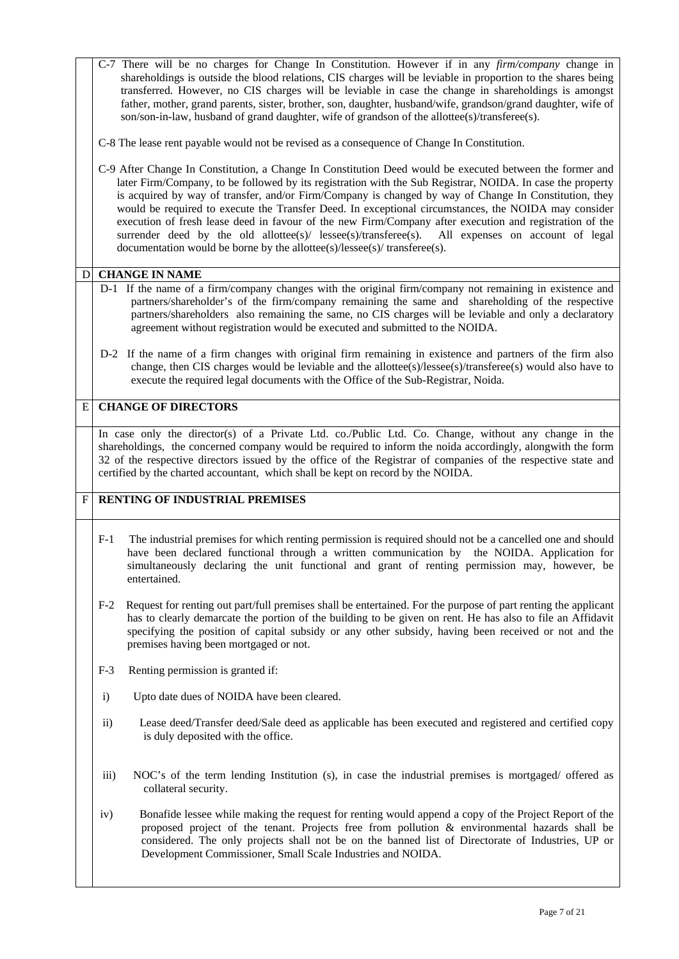|              |                                       | C-7 There will be no charges for Change In Constitution. However if in any <i>firm/company</i> change in<br>shareholdings is outside the blood relations, CIS charges will be leviable in proportion to the shares being<br>transferred. However, no CIS charges will be leviable in case the change in shareholdings is amongst<br>father, mother, grand parents, sister, brother, son, daughter, husband/wife, grandson/grand daughter, wife of<br>son/son-in-law, husband of grand daughter, wife of grandson of the allottee(s)/transferee(s).                                                                                                                                                                                             |  |
|--------------|---------------------------------------|------------------------------------------------------------------------------------------------------------------------------------------------------------------------------------------------------------------------------------------------------------------------------------------------------------------------------------------------------------------------------------------------------------------------------------------------------------------------------------------------------------------------------------------------------------------------------------------------------------------------------------------------------------------------------------------------------------------------------------------------|--|
|              |                                       | C-8 The lease rent payable would not be revised as a consequence of Change In Constitution.                                                                                                                                                                                                                                                                                                                                                                                                                                                                                                                                                                                                                                                    |  |
|              |                                       | C-9 After Change In Constitution, a Change In Constitution Deed would be executed between the former and<br>later Firm/Company, to be followed by its registration with the Sub Registrar, NOIDA. In case the property<br>is acquired by way of transfer, and/or Firm/Company is changed by way of Change In Constitution, they<br>would be required to execute the Transfer Deed. In exceptional circumstances, the NOIDA may consider<br>execution of fresh lease deed in favour of the new Firm/Company after execution and registration of the<br>surrender deed by the old allottee(s)/ lessee(s)/transferee(s). All expenses on account of legal<br>documentation would be borne by the allottee( $s$ )/lessee( $s$ )/transferee( $s$ ). |  |
| D            |                                       | <b>CHANGE IN NAME</b>                                                                                                                                                                                                                                                                                                                                                                                                                                                                                                                                                                                                                                                                                                                          |  |
|              |                                       | D-1 If the name of a firm/company changes with the original firm/company not remaining in existence and<br>partners/shareholder's of the firm/company remaining the same and shareholding of the respective<br>partners/shareholders also remaining the same, no CIS charges will be leviable and only a declaratory<br>agreement without registration would be executed and submitted to the NOIDA.                                                                                                                                                                                                                                                                                                                                           |  |
|              |                                       | D-2 If the name of a firm changes with original firm remaining in existence and partners of the firm also<br>change, then CIS charges would be leviable and the allottee(s)/lessee(s)/transferee(s) would also have to<br>execute the required legal documents with the Office of the Sub-Registrar, Noida.                                                                                                                                                                                                                                                                                                                                                                                                                                    |  |
| E            |                                       | <b>CHANGE OF DIRECTORS</b>                                                                                                                                                                                                                                                                                                                                                                                                                                                                                                                                                                                                                                                                                                                     |  |
|              |                                       | In case only the director(s) of a Private Ltd. co./Public Ltd. Co. Change, without any change in the<br>shareholdings, the concerned company would be required to inform the noida accordingly, alongwith the form<br>32 of the respective directors issued by the office of the Registrar of companies of the respective state and<br>certified by the charted accountant, which shall be kept on record by the NOIDA.                                                                                                                                                                                                                                                                                                                        |  |
| $\mathbf{F}$ | <b>RENTING OF INDUSTRIAL PREMISES</b> |                                                                                                                                                                                                                                                                                                                                                                                                                                                                                                                                                                                                                                                                                                                                                |  |
|              | $F-1$                                 | The industrial premises for which renting permission is required should not be a cancelled one and should<br>have been declared functional through a written communication by the NOIDA. Application for<br>simultaneously declaring the unit functional and grant of renting permission may, however, be<br>entertained.                                                                                                                                                                                                                                                                                                                                                                                                                      |  |
|              | $F-2$                                 | Request for renting out part/full premises shall be entertained. For the purpose of part renting the applicant<br>has to clearly demarcate the portion of the building to be given on rent. He has also to file an Affidavit<br>specifying the position of capital subsidy or any other subsidy, having been received or not and the<br>premises having been mortgaged or not.                                                                                                                                                                                                                                                                                                                                                                 |  |
|              | $F-3$                                 | Renting permission is granted if:                                                                                                                                                                                                                                                                                                                                                                                                                                                                                                                                                                                                                                                                                                              |  |
|              | $\mathbf{i}$                          | Upto date dues of NOIDA have been cleared.                                                                                                                                                                                                                                                                                                                                                                                                                                                                                                                                                                                                                                                                                                     |  |
|              | $\mathbf{ii}$                         | Lease deed/Transfer deed/Sale deed as applicable has been executed and registered and certified copy                                                                                                                                                                                                                                                                                                                                                                                                                                                                                                                                                                                                                                           |  |
|              |                                       | is duly deposited with the office.                                                                                                                                                                                                                                                                                                                                                                                                                                                                                                                                                                                                                                                                                                             |  |
|              | $\overline{iii}$                      | NOC's of the term lending Institution (s), in case the industrial premises is mortgaged/ offered as<br>collateral security.                                                                                                                                                                                                                                                                                                                                                                                                                                                                                                                                                                                                                    |  |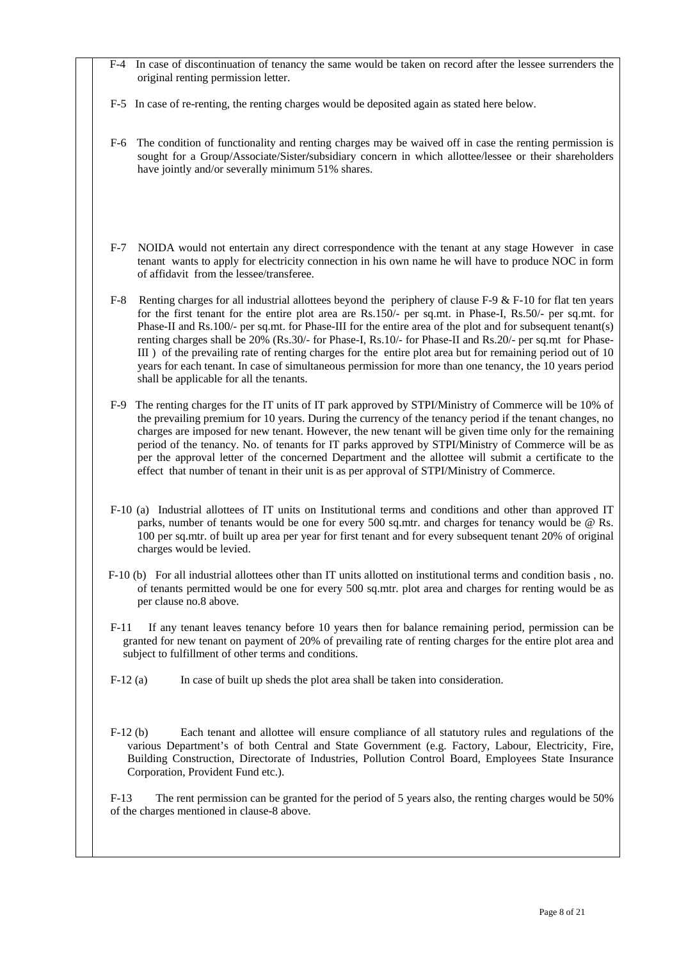- F-4 In case of discontinuation of tenancy the same would be taken on record after the lessee surrenders the original renting permission letter.
- F-5 In case of re-renting, the renting charges would be deposited again as stated here below.
- F-6 The condition of functionality and renting charges may be waived off in case the renting permission is sought for a Group/Associate/Sister**/**subsidiary concern in which allottee/lessee or their shareholders have jointly and/or severally minimum 51% shares.
- F-7 NOIDA would not entertain any direct correspondence with the tenant at any stage However in case tenant wants to apply for electricity connection in his own name he will have to produce NOC in form of affidavit from the lessee/transferee.
- F-8 Renting charges for all industrial allottees beyond the periphery of clause F-9 & F-10 for flat ten years for the first tenant for the entire plot area are Rs.150/- per sq.mt. in Phase-I, Rs.50/- per sq.mt. for Phase-II and Rs.100/- per sq.mt. for Phase-III for the entire area of the plot and for subsequent tenant(s) renting charges shall be 20% (Rs.30/- for Phase-I, Rs.10/- for Phase-II and Rs.20/- per sq.mt for Phase-III ) of the prevailing rate of renting charges for the entire plot area but for remaining period out of 10 years for each tenant. In case of simultaneous permission for more than one tenancy, the 10 years period shall be applicable for all the tenants.
- F-9 The renting charges for the IT units of IT park approved by STPI/Ministry of Commerce will be 10% of the prevailing premium for 10 years. During the currency of the tenancy period if the tenant changes, no charges are imposed for new tenant. However, the new tenant will be given time only for the remaining period of the tenancy. No. of tenants for IT parks approved by STPI/Ministry of Commerce will be as per the approval letter of the concerned Department and the allottee will submit a certificate to the effect that number of tenant in their unit is as per approval of STPI/Ministry of Commerce.
- F-10 (a) Industrial allottees of IT units on Institutional terms and conditions and other than approved IT parks, number of tenants would be one for every 500 sq.mtr. and charges for tenancy would be @ Rs. 100 per sq.mtr. of built up area per year for first tenant and for every subsequent tenant 20% of original charges would be levied.
- F-10 (b) For all industrial allottees other than IT units allotted on institutional terms and condition basis , no. of tenants permitted would be one for every 500 sq.mtr. plot area and charges for renting would be as per clause no.8 above.
- F-11 If any tenant leaves tenancy before 10 years then for balance remaining period, permission can be granted for new tenant on payment of 20% of prevailing rate of renting charges for the entire plot area and subject to fulfillment of other terms and conditions.
- $F-12$  (a) In case of built up sheds the plot area shall be taken into consideration.
- F-12 (b) Each tenant and allottee will ensure compliance of all statutory rules and regulations of the various Department's of both Central and State Government (e.g. Factory, Labour, Electricity, Fire, Building Construction, Directorate of Industries, Pollution Control Board, Employees State Insurance Corporation, Provident Fund etc.).

F-13 The rent permission can be granted for the period of 5 years also, the renting charges would be 50% of the charges mentioned in clause-8 above.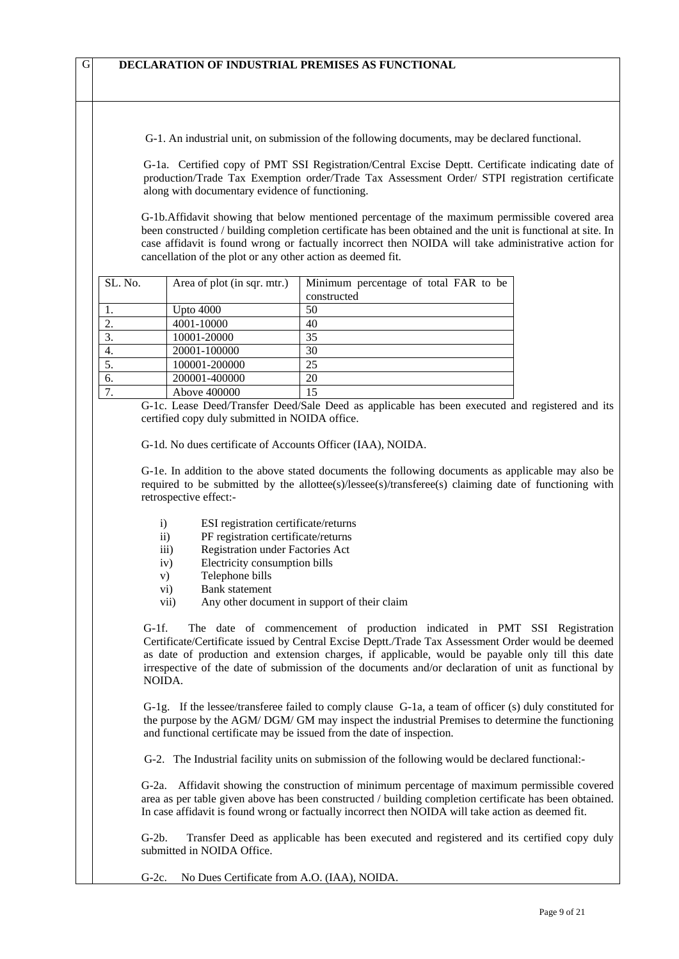G-1. An industrial unit, on submission of the following documents, may be declared functional.

G-1a. Certified copy of PMT SSI Registration/Central Excise Deptt. Certificate indicating date of production/Trade Tax Exemption order/Trade Tax Assessment Order/ STPI registration certificate along with documentary evidence of functioning.

G-1b.Affidavit showing that below mentioned percentage of the maximum permissible covered area been constructed / building completion certificate has been obtained and the unit is functional at site. In case affidavit is found wrong or factually incorrect then NOIDA will take administrative action for cancellation of the plot or any other action as deemed fit.

| SL. No. | Area of plot (in sqr. mtr.) | Minimum percentage of total FAR to be |
|---------|-----------------------------|---------------------------------------|
|         |                             | constructed                           |
|         | Upto $4000$                 | 50                                    |
| 2.      | 4001-10000                  | 40                                    |
| 3.      | 10001-20000                 | 35                                    |
| 4.      | 20001-100000                | 30                                    |
| 5.      | 100001-200000               | 25                                    |
| 6.      | 200001-400000               | 20                                    |
| ⇁       | Above 400000                | 15                                    |

G-1c. Lease Deed/Transfer Deed/Sale Deed as applicable has been executed and registered and its certified copy duly submitted in NOIDA office.

G-1d. No dues certificate of Accounts Officer (IAA), NOIDA.

G-1e. In addition to the above stated documents the following documents as applicable may also be required to be submitted by the allottee(s)/lessee(s)/transferee(s) claiming date of functioning with retrospective effect:-

- i) ESI registration certificate/returns
- ii) PF registration certificate/returns
- iii) Registration under Factories Act
- iv) Electricity consumption bills
- v) Telephone bills
- vi) Bank statement
- vii) Any other document in support of their claim

G-1f. The date of commencement of production indicated in PMT SSI Registration Certificate/Certificate issued by Central Excise Deptt./Trade Tax Assessment Order would be deemed as date of production and extension charges, if applicable, would be payable only till this date irrespective of the date of submission of the documents and/or declaration of unit as functional by NOIDA.

G-1g. If the lessee/transferee failed to comply clause G-1a, a team of officer (s) duly constituted for the purpose by the AGM/ DGM/ GM may inspect the industrial Premises to determine the functioning and functional certificate may be issued from the date of inspection.

G-2. The Industrial facility units on submission of the following would be declared functional:-

G-2a. Affidavit showing the construction of minimum percentage of maximum permissible covered area as per table given above has been constructed / building completion certificate has been obtained. In case affidavit is found wrong or factually incorrect then NOIDA will take action as deemed fit.

G-2b. Transfer Deed as applicable has been executed and registered and its certified copy duly submitted in NOIDA Office.

G-2c. No Dues Certificate from A.O. (IAA), NOIDA.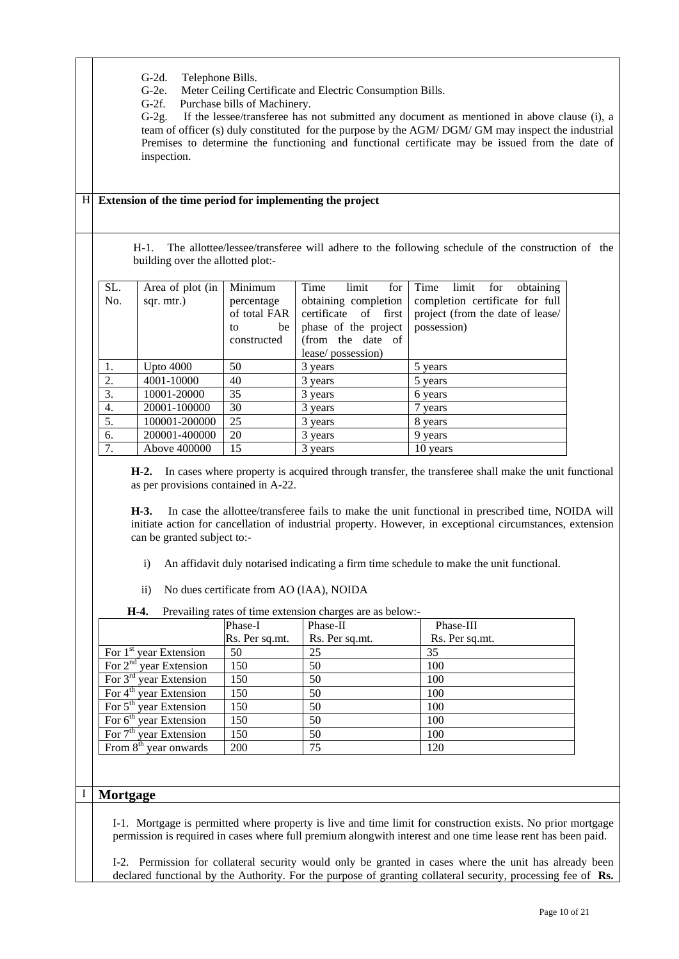- G-2d. Telephone Bills.
- G-2e. Meter Ceiling Certificate and Electric Consumption Bills.

G-2f. Purchase bills of Machinery.

G-2g. If the lessee/transferee has not submitted any document as mentioned in above clause (i), a team of officer (s) duly constituted for the purpose by the AGM/ DGM/ GM may inspect the industrial Premises to determine the functioning and functional certificate may be issued from the date of inspection.

### H **Extension of the time period for implementing the project**

H-1. The allottee/lessee/transferee will adhere to the following schedule of the construction of the building over the allotted plot:-

| SL. | Area of plot (in | Minimum      | Time<br>limit<br>for    | obtaining<br>Time<br>limit for   |
|-----|------------------|--------------|-------------------------|----------------------------------|
| No. | sqr. mtr.)       | percentage   | obtaining completion    | completion certificate for full  |
|     |                  | of total FAR | certificate of<br>first | project (from the date of lease/ |
|     |                  | be<br>to     | phase of the project    | possession)                      |
|     |                  | constructed  | (from the date of       |                                  |
|     |                  |              | lease/possession)       |                                  |
| 1.  | Upto $4000$      | 50           | 3 years                 | 5 years                          |
| 2.  | 4001-10000       | 40           | 3 years                 | 5 years                          |
| 3.  | 10001-20000      | 35           | 3 years                 | 6 years                          |
| 4.  | 20001-100000     | 30           | 3 years                 | 7 years                          |
| 5.  | 100001-200000    | 25           | 3 years                 | 8 years                          |
| 6.  | 200001-400000    | 20           | 3 years                 | 9 years                          |
| 7.  | Above 400000     | 15           | 3 years                 | 10 years                         |

**H-2.** In cases where property is acquired through transfer, the transferee shall make the unit functional as per provisions contained in A-22.

**H-3.** In case the allottee/transferee fails to make the unit functional in prescribed time, NOIDA will initiate action for cancellation of industrial property. However, in exceptional circumstances, extension can be granted subject to:-

- i) An affidavit duly notarised indicating a firm time schedule to make the unit functional.
- ii) No dues certificate from AO (IAA), NOIDA

**H-4.** Prevailing rates of time extension charges are as below:-

|                                    | Phase-I        | Phase-II       | Phase-III      |
|------------------------------------|----------------|----------------|----------------|
|                                    | Rs. Per sq.mt. | Rs. Per sq.mt. | Rs. Per sq.mt. |
| For $1st$ year Extension           | 50             | 25             | 35             |
| For $2nd$ year Extension           | 150            | 50             | 100            |
| For $3rd$ year Extension           | 150            | 50             | 100            |
| For 4 <sup>th</sup> year Extension | 150            | 50             | 100            |
| For $5th$ year Extension           | 150            | 50             | 100            |
| For $6th$ year Extension           | 150            | 50             | 100            |
| For 7 <sup>th</sup> year Extension | 150            | 50             | 100            |
| From 8 <sup>th</sup> year onwards  | 200            | 75             | 120            |

### I **Mortgage**

I-1. Mortgage is permitted where property is live and time limit for construction exists. No prior mortgage permission is required in cases where full premium alongwith interest and one time lease rent has been paid.

I-2. Permission for collateral security would only be granted in cases where the unit has already been declared functional by the Authority. For the purpose of granting collateral security, processing fee of **Rs.**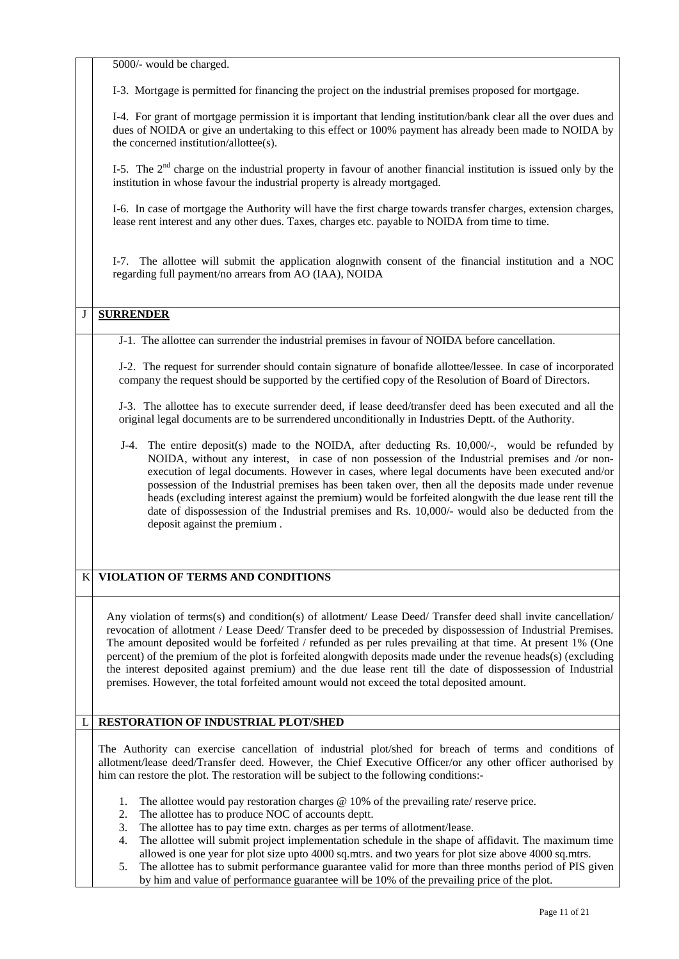5000/- would be charged.

I-3. Mortgage is permitted for financing the project on the industrial premises proposed for mortgage.

I-4. For grant of mortgage permission it is important that lending institution/bank clear all the over dues and dues of NOIDA or give an undertaking to this effect or 100% payment has already been made to NOIDA by the concerned institution/allottee(s).

I-5. The  $2<sup>nd</sup>$  charge on the industrial property in favour of another financial institution is issued only by the institution in whose favour the industrial property is already mortgaged.

I-6. In case of mortgage the Authority will have the first charge towards transfer charges, extension charges, lease rent interest and any other dues. Taxes, charges etc. payable to NOIDA from time to time.

I-7. The allottee will submit the application alognwith consent of the financial institution and a NOC regarding full payment/no arrears from AO (IAA), NOIDA

## J **SURRENDER**

J-1. The allottee can surrender the industrial premises in favour of NOIDA before cancellation.

J-2. The request for surrender should contain signature of bonafide allottee/lessee. In case of incorporated company the request should be supported by the certified copy of the Resolution of Board of Directors.

J-3. The allottee has to execute surrender deed, if lease deed/transfer deed has been executed and all the original legal documents are to be surrendered unconditionally in Industries Deptt. of the Authority.

J-4. The entire deposit(s) made to the NOIDA, after deducting Rs. 10,000/-, would be refunded by NOIDA, without any interest, in case of non possession of the Industrial premises and /or nonexecution of legal documents. However in cases, where legal documents have been executed and/or possession of the Industrial premises has been taken over, then all the deposits made under revenue heads (excluding interest against the premium) would be forfeited alongwith the due lease rent till the date of dispossession of the Industrial premises and Rs. 10,000/- would also be deducted from the deposit against the premium .

### K **VIOLATION OF TERMS AND CONDITIONS**

Any violation of terms(s) and condition(s) of allotment/ Lease Deed/ Transfer deed shall invite cancellation/ revocation of allotment / Lease Deed/ Transfer deed to be preceded by dispossession of Industrial Premises. The amount deposited would be forfeited / refunded as per rules prevailing at that time. At present 1% (One percent) of the premium of the plot is forfeited alongwith deposits made under the revenue heads(s) (excluding the interest deposited against premium) and the due lease rent till the date of dispossession of Industrial premises. However, the total forfeited amount would not exceed the total deposited amount.

#### L **RESTORATION OF INDUSTRIAL PLOT/SHED**

The Authority can exercise cancellation of industrial plot/shed for breach of terms and conditions of allotment/lease deed/Transfer deed. However, the Chief Executive Officer/or any other officer authorised by him can restore the plot. The restoration will be subject to the following conditions:-

- 1. The allottee would pay restoration charges @ 10% of the prevailing rate/ reserve price.
- 2. The allottee has to produce NOC of accounts deptt.
- 3. The allottee has to pay time extn. charges as per terms of allotment/lease.
- 4. The allottee will submit project implementation schedule in the shape of affidavit. The maximum time allowed is one year for plot size upto 4000 sq.mtrs. and two years for plot size above 4000 sq.mtrs.
- 5. The allottee has to submit performance guarantee valid for more than three months period of PIS given by him and value of performance guarantee will be 10% of the prevailing price of the plot.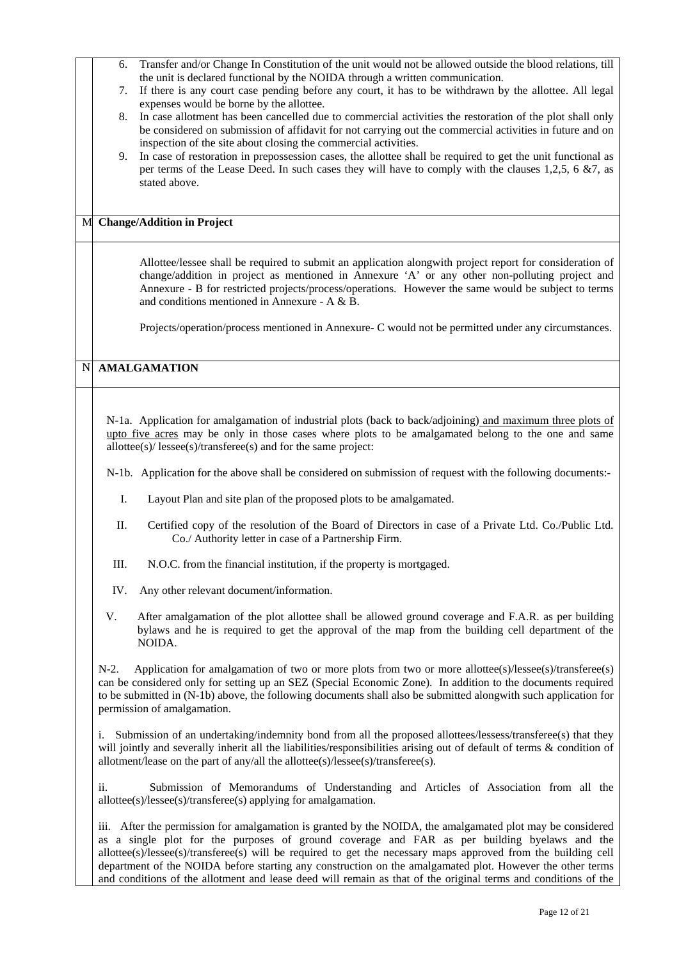- 6. Transfer and/or Change In Constitution of the unit would not be allowed outside the blood relations, till the unit is declared functional by the NOIDA through a written communication.
- 7. If there is any court case pending before any court, it has to be withdrawn by the allottee. All legal expenses would be borne by the allottee.
- 8. In case allotment has been cancelled due to commercial activities the restoration of the plot shall only be considered on submission of affidavit for not carrying out the commercial activities in future and on inspection of the site about closing the commercial activities.
- 9. In case of restoration in prepossession cases, the allottee shall be required to get the unit functional as per terms of the Lease Deed. In such cases they will have to comply with the clauses 1,2,5, 6 &7, as stated above.

#### M **Change/Addition in Project**

Allottee/lessee shall be required to submit an application alongwith project report for consideration of change/addition in project as mentioned in Annexure 'A' or any other non-polluting project and Annexure - B for restricted projects/process/operations. However the same would be subject to terms and conditions mentioned in Annexure - A & B.

Projects/operation/process mentioned in Annexure- C would not be permitted under any circumstances.

## N **AMALGAMATION**

N-1a. Application for amalgamation of industrial plots (back to back/adjoining) and maximum three plots of upto five acres may be only in those cases where plots to be amalgamated belong to the one and same allottee(s)/ lessee(s)/transferee(s) and for the same project:

N-1b.Application for the above shall be considered on submission of request with the following documents:-

- I. Layout Plan and site plan of the proposed plots to be amalgamated.
- II. Certified copy of the resolution of the Board of Directors in case of a Private Ltd. Co./Public Ltd. Co./ Authority letter in case of a Partnership Firm.
- III. N.O.C. from the financial institution, if the property is mortgaged.
- IV. Any other relevant document/information.
- V. After amalgamation of the plot allottee shall be allowed ground coverage and F.A.R. as per building bylaws and he is required to get the approval of the map from the building cell department of the NOIDA.

N-2. Application for amalgamation of two or more plots from two or more allottee(s)/lessee(s)/transferee(s) can be considered only for setting up an SEZ (Special Economic Zone). In addition to the documents required to be submitted in (N-1b) above, the following documents shall also be submitted alongwith such application for permission of amalgamation.

i. Submission of an undertaking/indemnity bond from all the proposed allottees/lessess/transferee(s) that they will jointly and severally inherit all the liabilities/responsibilities arising out of default of terms & condition of allotment/lease on the part of any/all the allottee(s)/lessee(s)/transferee(s).

ii. Submission of Memorandums of Understanding and Articles of Association from all the allottee(s)/lessee(s)/transferee(s) applying for amalgamation.

iii. After the permission for amalgamation is granted by the NOIDA, the amalgamated plot may be considered as a single plot for the purposes of ground coverage and FAR as per building byelaws and the allottee(s)/lessee(s)/transferee(s) will be required to get the necessary maps approved from the building cell department of the NOIDA before starting any construction on the amalgamated plot. However the other terms and conditions of the allotment and lease deed will remain as that of the original terms and conditions of the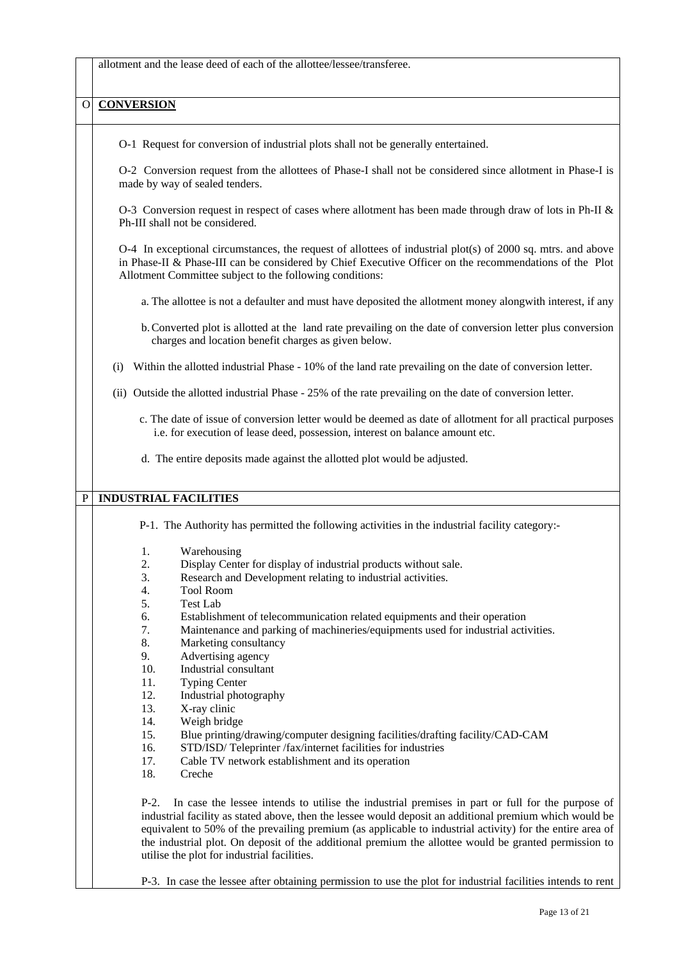allotment and the lease deed of each of the allottee/lessee/transferee.

## **O CONVERSION**

O-1 Request for conversion of industrial plots shall not be generally entertained.

O-2 Conversion request from the allottees of Phase-I shall not be considered since allotment in Phase-I is made by way of sealed tenders.

O-3 Conversion request in respect of cases where allotment has been made through draw of lots in Ph-II & Ph-III shall not be considered.

O-4 In exceptional circumstances, the request of allottees of industrial plot(s) of 2000 sq. mtrs. and above in Phase-II & Phase-III can be considered by Chief Executive Officer on the recommendations of the Plot Allotment Committee subject to the following conditions:

- a. The allottee is not a defaulter and must have deposited the allotment money alongwith interest, if any
- b.Converted plot is allotted at the land rate prevailing on the date of conversion letter plus conversion charges and location benefit charges as given below.
- (i) Within the allotted industrial Phase 10% of the land rate prevailing on the date of conversion letter.
- (ii) Outside the allotted industrial Phase 25% of the rate prevailing on the date of conversion letter.
	- c. The date of issue of conversion letter would be deemed as date of allotment for all practical purposes i.e. for execution of lease deed, possession, interest on balance amount etc.
	- d. The entire deposits made against the allotted plot would be adjusted.

### P **INDUSTRIAL FACILITIES**

P-1. The Authority has permitted the following activities in the industrial facility category:-

- 1. Warehousing
- 2. Display Center for display of industrial products without sale.
- 3. Research and Development relating to industrial activities.
- 4. Tool Room
- 5. Test Lab
- 6. Establishment of telecommunication related equipments and their operation
- 7. Maintenance and parking of machineries/equipments used for industrial activities.
- 8. Marketing consultancy
- 9. Advertising agency
- 10. Industrial consultant
- 11. Typing Center
- 12. Industrial photography
- 13. X-ray clinic
- 14. Weigh bridge
- 15. Blue printing/drawing/computer designing facilities/drafting facility/CAD-CAM
- 16. STD/ISD/ Teleprinter /fax/internet facilities for industries
- 17. Cable TV network establishment and its operation
- 18. Creche

P-2. In case the lessee intends to utilise the industrial premises in part or full for the purpose of industrial facility as stated above, then the lessee would deposit an additional premium which would be equivalent to 50% of the prevailing premium (as applicable to industrial activity) for the entire area of the industrial plot. On deposit of the additional premium the allottee would be granted permission to utilise the plot for industrial facilities.

P-3. In case the lessee after obtaining permission to use the plot for industrial facilities intends to rent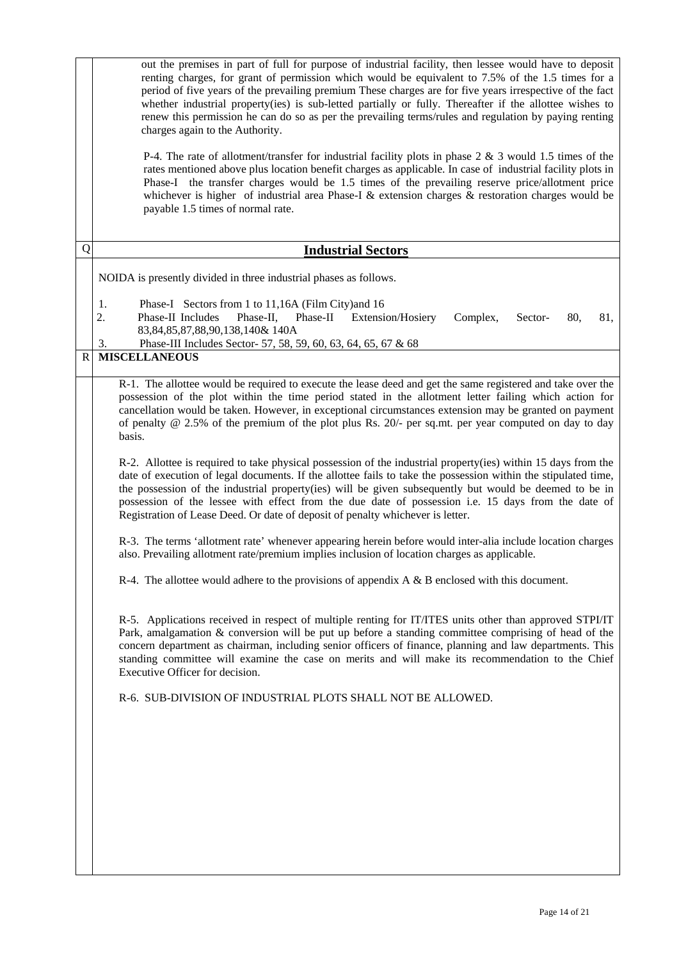|                       | out the premises in part of full for purpose of industrial facility, then lessee would have to deposit<br>renting charges, for grant of permission which would be equivalent to 7.5% of the 1.5 times for a<br>period of five years of the prevailing premium These charges are for five years irrespective of the fact<br>whether industrial property(ies) is sub-letted partially or fully. Thereafter if the allottee wishes to<br>renew this permission he can do so as per the prevailing terms/rules and regulation by paying renting<br>charges again to the Authority.<br>P-4. The rate of allotment/transfer for industrial facility plots in phase $2 \& 3$ would 1.5 times of the<br>rates mentioned above plus location benefit charges as applicable. In case of industrial facility plots in                                                                                                                                                                                                                                                                                                                                                                                                                                                                                                                                                                                                                                                                                                                                                                                                                                                                                                                                                                                                                                        |
|-----------------------|---------------------------------------------------------------------------------------------------------------------------------------------------------------------------------------------------------------------------------------------------------------------------------------------------------------------------------------------------------------------------------------------------------------------------------------------------------------------------------------------------------------------------------------------------------------------------------------------------------------------------------------------------------------------------------------------------------------------------------------------------------------------------------------------------------------------------------------------------------------------------------------------------------------------------------------------------------------------------------------------------------------------------------------------------------------------------------------------------------------------------------------------------------------------------------------------------------------------------------------------------------------------------------------------------------------------------------------------------------------------------------------------------------------------------------------------------------------------------------------------------------------------------------------------------------------------------------------------------------------------------------------------------------------------------------------------------------------------------------------------------------------------------------------------------------------------------------------------------|
|                       | Phase-I the transfer charges would be 1.5 times of the prevailing reserve price/allotment price<br>whichever is higher of industrial area Phase-I & extension charges & restoration charges would be<br>payable 1.5 times of normal rate.                                                                                                                                                                                                                                                                                                                                                                                                                                                                                                                                                                                                                                                                                                                                                                                                                                                                                                                                                                                                                                                                                                                                                                                                                                                                                                                                                                                                                                                                                                                                                                                                         |
| Q                     | <b>Industrial Sectors</b>                                                                                                                                                                                                                                                                                                                                                                                                                                                                                                                                                                                                                                                                                                                                                                                                                                                                                                                                                                                                                                                                                                                                                                                                                                                                                                                                                                                                                                                                                                                                                                                                                                                                                                                                                                                                                         |
|                       | NOIDA is presently divided in three industrial phases as follows.                                                                                                                                                                                                                                                                                                                                                                                                                                                                                                                                                                                                                                                                                                                                                                                                                                                                                                                                                                                                                                                                                                                                                                                                                                                                                                                                                                                                                                                                                                                                                                                                                                                                                                                                                                                 |
|                       | Phase-I Sectors from 1 to 11,16A (Film City) and 16<br>1.<br>2.<br>Phase-II Includes<br>Phase-II,<br>Phase-II Extension/Hosiery<br>Complex,<br>80,<br>81,<br>Sector-<br>83, 84, 85, 87, 88, 90, 138, 140 & 140 A                                                                                                                                                                                                                                                                                                                                                                                                                                                                                                                                                                                                                                                                                                                                                                                                                                                                                                                                                                                                                                                                                                                                                                                                                                                                                                                                                                                                                                                                                                                                                                                                                                  |
| $\overline{\text{R}}$ | 3.<br>Phase-III Includes Sector-57, 58, 59, 60, 63, 64, 65, 67 & 68<br><b>MISCELLANEOUS</b>                                                                                                                                                                                                                                                                                                                                                                                                                                                                                                                                                                                                                                                                                                                                                                                                                                                                                                                                                                                                                                                                                                                                                                                                                                                                                                                                                                                                                                                                                                                                                                                                                                                                                                                                                       |
|                       | R-1. The allottee would be required to execute the lease deed and get the same registered and take over the<br>possession of the plot within the time period stated in the allotment letter failing which action for<br>cancellation would be taken. However, in exceptional circumstances extension may be granted on payment<br>of penalty $@$ 2.5% of the premium of the plot plus Rs. 20/- per sq.mt. per year computed on day to day<br>basis.<br>R-2. Allottee is required to take physical possession of the industrial property(ies) within 15 days from the<br>date of execution of legal documents. If the allottee fails to take the possession within the stipulated time,<br>the possession of the industrial property(ies) will be given subsequently but would be deemed to be in<br>possession of the lessee with effect from the due date of possession i.e. 15 days from the date of<br>Registration of Lease Deed. Or date of deposit of penalty whichever is letter.<br>R-3. The terms 'allotment rate' whenever appearing herein before would inter-alia include location charges<br>also. Prevailing allotment rate/premium implies inclusion of location charges as applicable.<br>R-4. The allottee would adhere to the provisions of appendix $A \& B$ enclosed with this document.<br>R-5. Applications received in respect of multiple renting for IT/ITES units other than approved STPI/IT<br>Park, amalgamation & conversion will be put up before a standing committee comprising of head of the<br>concern department as chairman, including senior officers of finance, planning and law departments. This<br>standing committee will examine the case on merits and will make its recommendation to the Chief<br>Executive Officer for decision.<br>R-6. SUB-DIVISION OF INDUSTRIAL PLOTS SHALL NOT BE ALLOWED. |
|                       |                                                                                                                                                                                                                                                                                                                                                                                                                                                                                                                                                                                                                                                                                                                                                                                                                                                                                                                                                                                                                                                                                                                                                                                                                                                                                                                                                                                                                                                                                                                                                                                                                                                                                                                                                                                                                                                   |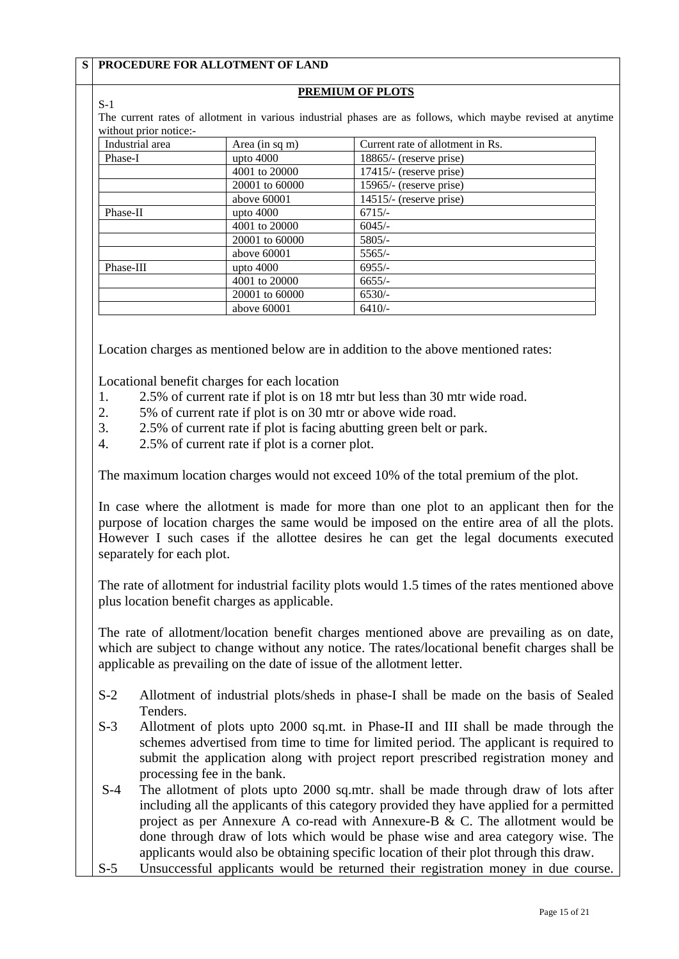|                        | S   PROCEDURE FOR ALLOTMENT OF LAND |                                                                                                            |
|------------------------|-------------------------------------|------------------------------------------------------------------------------------------------------------|
|                        |                                     | PREMIUM OF PLOTS                                                                                           |
| $S-1$                  |                                     |                                                                                                            |
| without prior notice:- |                                     | The current rates of allotment in various industrial phases are as follows, which maybe revised at anytime |
| Industrial area        | Area (in sq m)                      | Current rate of allotment in Rs.                                                                           |
| Phase-I                | upto $4000$                         | 18865/- (reserve prise)                                                                                    |
|                        | 4001 to 20000                       | $17415/-$ (reserve prise)                                                                                  |
|                        | 20001 to 60000                      | 15965/- (reserve prise)                                                                                    |
|                        | above 60001                         | $14515/$ - (reserve prise)                                                                                 |
| Phase-II               | upto $4000$                         | $6715/-$                                                                                                   |
|                        | 4001 to 20000                       | $6045/-$                                                                                                   |
|                        | 20001 to 60000                      | $5805/-$                                                                                                   |
|                        | above 60001                         | $5565/-$                                                                                                   |
| Phase-III              | upto $4000$                         | $6955/-$                                                                                                   |
|                        | 4001 to 20000                       | $6655/-$                                                                                                   |
|                        | 20001 to 60000                      | $6530/-$                                                                                                   |
|                        | above 60001                         | $6410/-$                                                                                                   |

Location charges as mentioned below are in addition to the above mentioned rates:

Locational benefit charges for each location

- 1. 2.5% of current rate if plot is on 18 mtr but less than 30 mtr wide road.
- 2. 5% of current rate if plot is on 30 mtr or above wide road.
- 3. 2.5% of current rate if plot is facing abutting green belt or park.
- 4. 2.5% of current rate if plot is a corner plot.

The maximum location charges would not exceed 10% of the total premium of the plot.

In case where the allotment is made for more than one plot to an applicant then for the purpose of location charges the same would be imposed on the entire area of all the plots. However I such cases if the allottee desires he can get the legal documents executed separately for each plot.

The rate of allotment for industrial facility plots would 1.5 times of the rates mentioned above plus location benefit charges as applicable.

The rate of allotment/location benefit charges mentioned above are prevailing as on date, which are subject to change without any notice. The rates/locational benefit charges shall be applicable as prevailing on the date of issue of the allotment letter.

- S-2 Allotment of industrial plots/sheds in phase-I shall be made on the basis of Sealed Tenders.
- S-3 Allotment of plots upto 2000 sq.mt. in Phase-II and III shall be made through the schemes advertised from time to time for limited period. The applicant is required to submit the application along with project report prescribed registration money and processing fee in the bank.
- S-4 The allotment of plots upto 2000 sq.mtr. shall be made through draw of lots after including all the applicants of this category provided they have applied for a permitted project as per Annexure A co-read with Annexure-B & C. The allotment would be done through draw of lots which would be phase wise and area category wise. The applicants would also be obtaining specific location of their plot through this draw.
- S-5 Unsuccessful applicants would be returned their registration money in due course.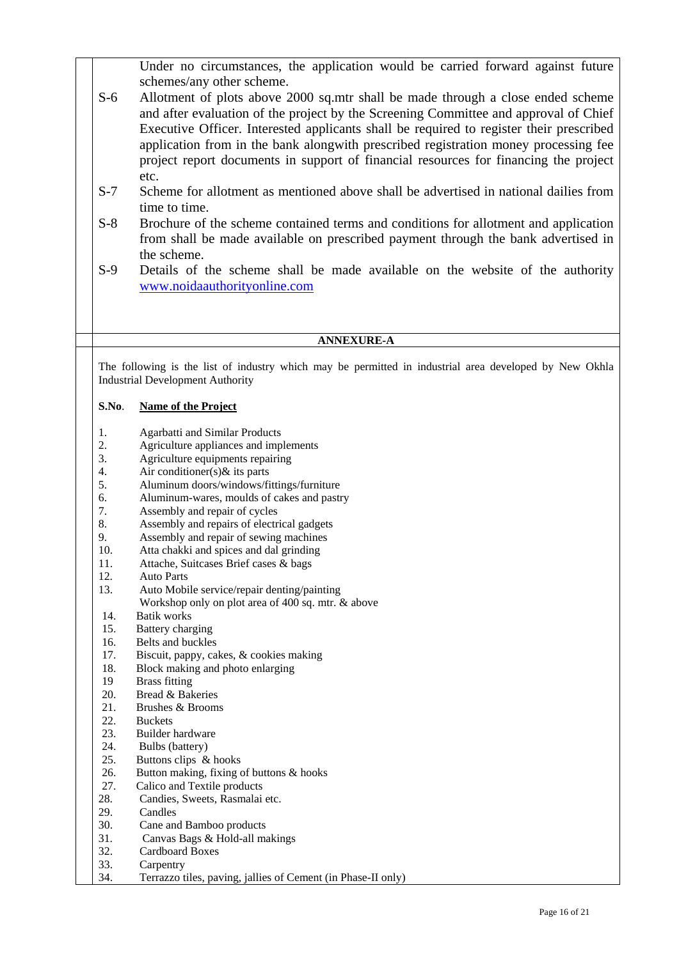Under no circumstances, the application would be carried forward against future schemes/any other scheme.

- S-6 Allotment of plots above 2000 sq.mtr shall be made through a close ended scheme and after evaluation of the project by the Screening Committee and approval of Chief Executive Officer. Interested applicants shall be required to register their prescribed application from in the bank alongwith prescribed registration money processing fee project report documents in support of financial resources for financing the project etc.
- S-7 Scheme for allotment as mentioned above shall be advertised in national dailies from time to time.
- S-8 Brochure of the scheme contained terms and conditions for allotment and application from shall be made available on prescribed payment through the bank advertised in the scheme.
- S-9 Details of the scheme shall be made available on the website of the authority www.noidaauthorityonline.com

### **ANNEXURE-A**

The following is the list of industry which may be permitted in industrial area developed by New Okhla Industrial Development Authority

#### **S.No**. **Name of the Project**

- 1. Agarbatti and Similar Products
- 2. Agriculture appliances and implements
- 3. Agriculture equipments repairing
- 4. Air conditioner(s) $\&$  its parts<br>5. Aluminum doors/windows/fi
- 5. Aluminum doors/windows/fittings/furniture
- 6. Aluminum-wares, moulds of cakes and pastry
- 7. Assembly and repair of cycles
- 8. Assembly and repairs of electrical gadgets
- 9. Assembly and repair of sewing machines
- 10. Atta chakki and spices and dal grinding
- 11. Attache, Suitcases Brief cases & bags
- 12. Auto Parts
- 13. Auto Mobile service/repair denting/painting
	- Workshop only on plot area of 400 sq. mtr. & above
- 14. Batik works
- 15. Battery charging
- 16. Belts and buckles
- 17. Biscuit, pappy, cakes, & cookies making
- 18. Block making and photo enlarging
- 19 Brass fitting
- 20. Bread & Bakeries
- 21. Brushes & Brooms
- 22. Buckets
- 23. Builder hardware
- 24. Bulbs (battery)<br>25. Buttons clips &
- Buttons clips & hooks
- 26. Button making, fixing of buttons  $\&$  hooks<br>27. Calico and Textile products
- Calico and Textile products
- 28. Candies, Sweets, Rasmalai etc.
- 29. Candles
- 30. Cane and Bamboo products
- 31. Canvas Bags & Hold-all makings
- 32. Cardboard Boxes
- 33. Carpentry<br>34. Terrazzo t
- 34. Terrazzo tiles, paving, jallies of Cement (in Phase-II only)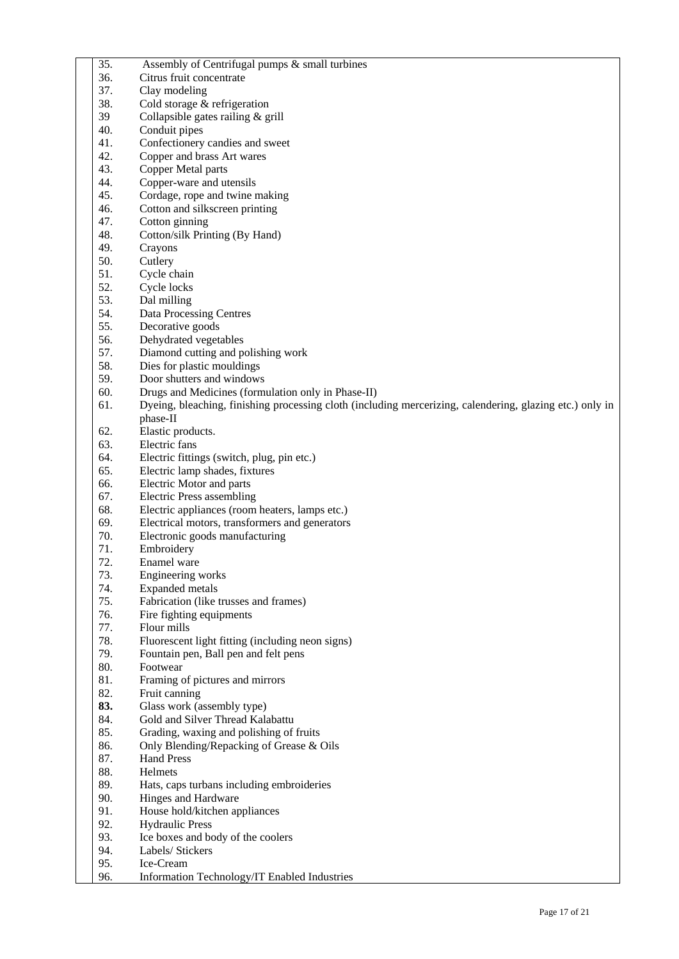| 35.        | Assembly of Centrifugal pumps & small turbines                                                           |
|------------|----------------------------------------------------------------------------------------------------------|
| 36.        | Citrus fruit concentrate                                                                                 |
| 37.        | Clay modeling                                                                                            |
| 38.        | Cold storage & refrigeration                                                                             |
| 39         | Collapsible gates railing & grill                                                                        |
| 40.        | Conduit pipes                                                                                            |
| 41.        | Confectionery candies and sweet                                                                          |
| 42.        | Copper and brass Art wares                                                                               |
| 43.        | Copper Metal parts                                                                                       |
| 44.        | Copper-ware and utensils                                                                                 |
| 45.        | Cordage, rope and twine making                                                                           |
| 46.        | Cotton and silkscreen printing                                                                           |
| 47.        | Cotton ginning                                                                                           |
| 48.        | Cotton/silk Printing (By Hand)                                                                           |
| 49.        | Crayons                                                                                                  |
| 50.        | Cutlery                                                                                                  |
| 51.        | Cycle chain                                                                                              |
| 52.        | Cycle locks                                                                                              |
| 53.        | Dal milling                                                                                              |
| 54.        | Data Processing Centres                                                                                  |
| 55.        | Decorative goods                                                                                         |
| 56.        | Dehydrated vegetables                                                                                    |
| 57.        | Diamond cutting and polishing work                                                                       |
| 58.        | Dies for plastic mouldings                                                                               |
| 59.        | Door shutters and windows                                                                                |
| 60.        | Drugs and Medicines (formulation only in Phase-II)                                                       |
| 61.        | Dyeing, bleaching, finishing processing cloth (including mercerizing, calendering, glazing etc.) only in |
|            | phase-II                                                                                                 |
| 62.        | Elastic products.                                                                                        |
| 63.        | Electric fans                                                                                            |
| 64.        | Electric fittings (switch, plug, pin etc.)                                                               |
| 65.        | Electric lamp shades, fixtures                                                                           |
| 66.        | Electric Motor and parts                                                                                 |
| 67.        | <b>Electric Press assembling</b>                                                                         |
| 68.        | Electric appliances (room heaters, lamps etc.)                                                           |
| 69.        | Electrical motors, transformers and generators                                                           |
| 70.        | Electronic goods manufacturing                                                                           |
| 71.        | Embroidery                                                                                               |
| 72.<br>73. | Enamel ware                                                                                              |
| 74.        | Engineering works                                                                                        |
| 75.        | <b>Expanded</b> metals<br>Fabrication (like trusses and frames)                                          |
| 76.        | Fire fighting equipments                                                                                 |
| 77.        | Flour mills                                                                                              |
| 78.        | Fluorescent light fitting (including neon signs)                                                         |
| 79.        | Fountain pen, Ball pen and felt pens                                                                     |
| 80.        | Footwear                                                                                                 |
| 81.        | Framing of pictures and mirrors                                                                          |
| 82.        | Fruit canning                                                                                            |
| 83.        | Glass work (assembly type)                                                                               |
| 84.        | Gold and Silver Thread Kalabattu                                                                         |
| 85.        | Grading, waxing and polishing of fruits                                                                  |
| 86.        | Only Blending/Repacking of Grease & Oils                                                                 |
| 87.        | <b>Hand Press</b>                                                                                        |
| 88.        | Helmets                                                                                                  |
| 89.        | Hats, caps turbans including embroideries                                                                |
| 90.        | Hinges and Hardware                                                                                      |
| 91.        | House hold/kitchen appliances                                                                            |
| 92.        | <b>Hydraulic Press</b>                                                                                   |
| 93.        | Ice boxes and body of the coolers                                                                        |
| 94.        | Labels/ Stickers                                                                                         |
| 95.        | Ice-Cream                                                                                                |
| 96.        | Information Technology/IT Enabled Industries                                                             |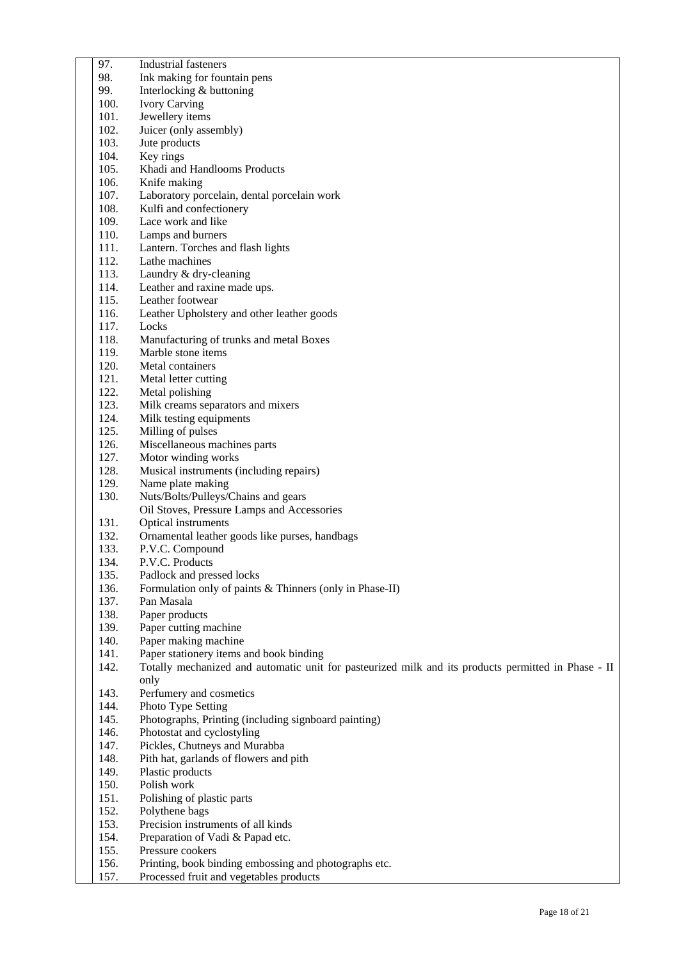| 97.          | <b>Industrial fasteners</b>                                                                         |
|--------------|-----------------------------------------------------------------------------------------------------|
| 98.          | Ink making for fountain pens                                                                        |
| 99.          | Interlocking & buttoning                                                                            |
| 100.         | <b>Ivory Carving</b>                                                                                |
| 101.         | Jewellery items                                                                                     |
| 102.         | Juicer (only assembly)                                                                              |
| 103.         | Jute products                                                                                       |
| 104.         | Key rings                                                                                           |
| 105.         | Khadi and Handlooms Products                                                                        |
| 106.         | Knife making                                                                                        |
| 107.         | Laboratory porcelain, dental porcelain work                                                         |
| 108.         | Kulfi and confectionery                                                                             |
| 109.         | Lace work and like                                                                                  |
| 110.         | Lamps and burners                                                                                   |
| 111.         | Lantern. Torches and flash lights                                                                   |
| 112.         | Lathe machines                                                                                      |
| 113.         | Laundry & dry-cleaning                                                                              |
| 114.         | Leather and raxine made ups.                                                                        |
| 115.         | Leather footwear                                                                                    |
| 116.         | Leather Upholstery and other leather goods                                                          |
| 117.         | Locks                                                                                               |
| 118.         | Manufacturing of trunks and metal Boxes                                                             |
| 119.         | Marble stone items                                                                                  |
| 120.         | Metal containers                                                                                    |
| 121.         | Metal letter cutting                                                                                |
| 122.         | Metal polishing                                                                                     |
| 123.         | Milk creams separators and mixers                                                                   |
| 124.         | Milk testing equipments                                                                             |
| 125.         | Milling of pulses                                                                                   |
| 126.<br>127. | Miscellaneous machines parts                                                                        |
| 128.         | Motor winding works<br>Musical instruments (including repairs)                                      |
| 129.         | Name plate making                                                                                   |
| 130.         | Nuts/Bolts/Pulleys/Chains and gears                                                                 |
|              | Oil Stoves, Pressure Lamps and Accessories                                                          |
| 131.         | Optical instruments                                                                                 |
| 132.         | Ornamental leather goods like purses, handbags                                                      |
| 133.         | P.V.C. Compound                                                                                     |
| 134.         | P.V.C. Products                                                                                     |
| 135.         | Padlock and pressed locks                                                                           |
| 136.         | Formulation only of paints & Thinners (only in Phase-II)                                            |
| 137.         | Pan Masala                                                                                          |
| 138.         | Paper products                                                                                      |
| 139.         | Paper cutting machine                                                                               |
| 140.         | Paper making machine                                                                                |
| 141.         | Paper stationery items and book binding                                                             |
| 142.         | Totally mechanized and automatic unit for pasteurized milk and its products permitted in Phase - II |
|              | only                                                                                                |
| 143.         | Perfumery and cosmetics                                                                             |
| 144.         | Photo Type Setting                                                                                  |
| 145.         | Photographs, Printing (including signboard painting)                                                |
| 146.         | Photostat and cyclostyling                                                                          |
| 147.         | Pickles, Chutneys and Murabba                                                                       |
| 148.         | Pith hat, garlands of flowers and pith                                                              |
| 149.         | Plastic products                                                                                    |
| 150.         | Polish work                                                                                         |
| 151.         | Polishing of plastic parts                                                                          |
| 152.         | Polythene bags                                                                                      |
| 153.         | Precision instruments of all kinds                                                                  |
| 154.         | Preparation of Vadi & Papad etc.                                                                    |
| 155.         | Pressure cookers                                                                                    |
| 156.         | Printing, book binding embossing and photographs etc.                                               |
| 157.         | Processed fruit and vegetables products                                                             |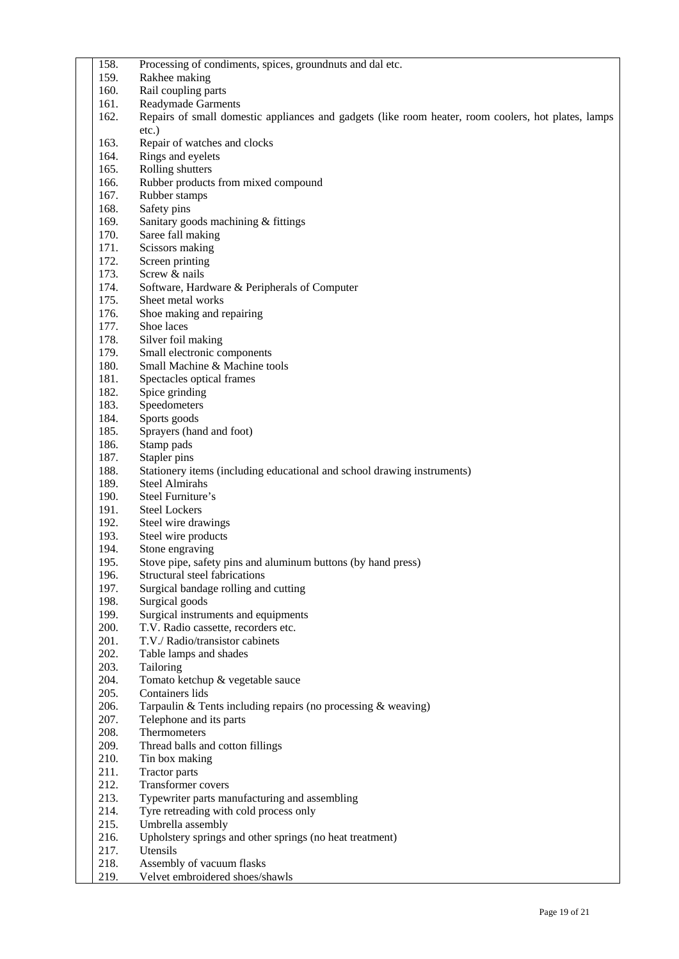| 158.         | Processing of condiments, spices, groundnuts and dal etc.                                           |
|--------------|-----------------------------------------------------------------------------------------------------|
| 159.         | Rakhee making                                                                                       |
| 160.         | Rail coupling parts                                                                                 |
| 161.         | <b>Readymade Garments</b>                                                                           |
| 162.         | Repairs of small domestic appliances and gadgets (like room heater, room coolers, hot plates, lamps |
|              | etc.)                                                                                               |
| 163.         | Repair of watches and clocks                                                                        |
| 164.         | Rings and eyelets                                                                                   |
| 165.         | Rolling shutters                                                                                    |
| 166.         | Rubber products from mixed compound                                                                 |
| 167.         | Rubber stamps                                                                                       |
| 168.         | Safety pins                                                                                         |
| 169.         | Sanitary goods machining & fittings                                                                 |
| 170.         | Saree fall making                                                                                   |
| 171.         | Scissors making                                                                                     |
| 172.         | Screen printing                                                                                     |
| 173.         | Screw & nails                                                                                       |
| 174.         | Software, Hardware & Peripherals of Computer                                                        |
| 175.         | Sheet metal works                                                                                   |
| 176.         | Shoe making and repairing                                                                           |
| 177.         | Shoe laces                                                                                          |
| 178.<br>179. | Silver foil making                                                                                  |
| 180.         | Small electronic components<br>Small Machine & Machine tools                                        |
| 181.         | Spectacles optical frames                                                                           |
| 182.         | Spice grinding                                                                                      |
| 183.         | Speedometers                                                                                        |
| 184.         | Sports goods                                                                                        |
| 185.         | Sprayers (hand and foot)                                                                            |
| 186.         | Stamp pads                                                                                          |
| 187.         | Stapler pins                                                                                        |
| 188.         | Stationery items (including educational and school drawing instruments)                             |
| 189.         | <b>Steel Almirahs</b>                                                                               |
| 190.         | Steel Furniture's                                                                                   |
| 191.         | <b>Steel Lockers</b>                                                                                |
| 192.         | Steel wire drawings                                                                                 |
| 193.         | Steel wire products                                                                                 |
| 194.         | Stone engraving                                                                                     |
| 195.         | Stove pipe, safety pins and aluminum buttons (by hand press)                                        |
| 196.         | Structural steel fabrications                                                                       |
| 197.         | Surgical bandage rolling and cutting                                                                |
| 198.<br>199. | Surgical goods<br>Surgical instruments and equipments                                               |
| 200.         | T.V. Radio cassette, recorders etc.                                                                 |
| 201.         | T.V./ Radio/transistor cabinets                                                                     |
| 202.         | Table lamps and shades                                                                              |
| 203.         | Tailoring                                                                                           |
| 204.         | Tomato ketchup & vegetable sauce                                                                    |
| 205.         | Containers lids                                                                                     |
| 206.         | Tarpaulin & Tents including repairs (no processing $&$ weaving)                                     |
| 207.         | Telephone and its parts                                                                             |
| 208.         | Thermometers                                                                                        |
| 209.         | Thread balls and cotton fillings                                                                    |
| 210.         | Tin box making                                                                                      |
| 211.         | <b>Tractor parts</b>                                                                                |
| 212.         | <b>Transformer covers</b>                                                                           |
| 213.         | Typewriter parts manufacturing and assembling                                                       |
| 214.         | Tyre retreading with cold process only                                                              |
| 215.         | Umbrella assembly                                                                                   |
| 216.         | Upholstery springs and other springs (no heat treatment)                                            |
| 217.         | Utensils                                                                                            |
| 218.         | Assembly of vacuum flasks                                                                           |
| 219.         | Velvet embroidered shoes/shawls                                                                     |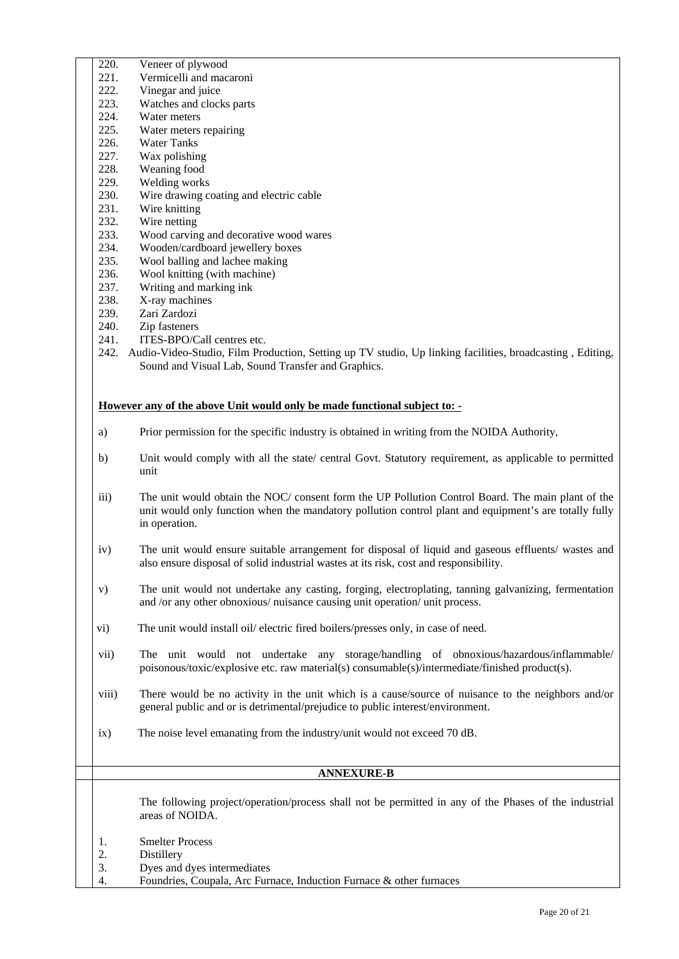- 220. Veneer of plywood
- 221. Vermicelli and macaroni
- 222. Vinegar and juice
- 223. Watches and clocks parts
- 224. Water meters
- 225. Water meters repairing
- 226. Water Tanks
- 227. Wax polishing
- 228. Weaning food 229. Welding works
- 
- 230. Wire drawing coating and electric cable
- 231. Wire knitting
- 232. Wire netting
- 233. Wood carving and decorative wood wares
- 234. Wooden/cardboard jewellery boxes
- 235. Wool balling and lachee making
- 236. Wool knitting (with machine)
- 237. Writing and marking ink
- 238. X-ray machines
- 239. Zari Zardozi
- 240. Zip fasteners
- 241. ITES-BPO/Call centres etc.
- 242. Audio-Video-Studio, Film Production, Setting up TV studio, Up linking facilities, broadcasting , Editing, Sound and Visual Lab, Sound Transfer and Graphics.

#### **However any of the above Unit would only be made functional subject to: -**

- a) Prior permission for the specific industry is obtained in writing from the NOIDA Authority,
- b) Unit would comply with all the state/ central Govt. Statutory requirement, as applicable to permitted unit
- iii) The unit would obtain the NOC/ consent form the UP Pollution Control Board. The main plant of the unit would only function when the mandatory pollution control plant and equipment's are totally fully in operation.
- iv) The unit would ensure suitable arrangement for disposal of liquid and gaseous effluents/ wastes and also ensure disposal of solid industrial wastes at its risk, cost and responsibility.
- v) The unit would not undertake any casting, forging, electroplating, tanning galvanizing, fermentation and /or any other obnoxious/ nuisance causing unit operation/ unit process.
- vi) The unit would install oil/ electric fired boilers/presses only, in case of need.
- vii) The unit would not undertake any storage/handling of obnoxious/hazardous/inflammable/ poisonous/toxic/explosive etc. raw material(s) consumable(s)/intermediate/finished product(s).
- viii) There would be no activity in the unit which is a cause/source of nuisance to the neighbors and/or general public and or is detrimental/prejudice to public interest/environment.
- ix) The noise level emanating from the industry/unit would not exceed 70 dB.

### **ANNEXURE-B**

The following project/operation/process shall not be permitted in any of the Phases of the industrial areas of NOIDA.

- 1. Smelter Process
- 2. Distillery
- 3. Dyes and dyes intermediates
- 4. Foundries, Coupala, Arc Furnace, Induction Furnace & other furnaces